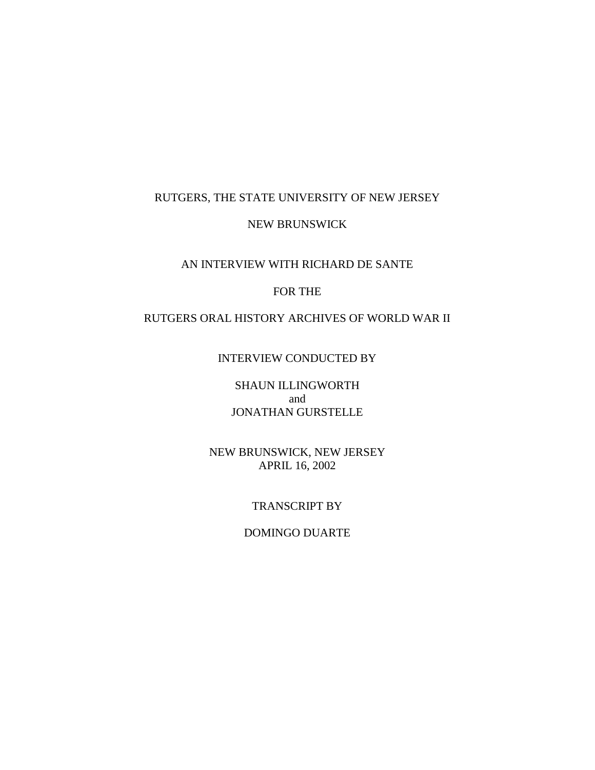## RUTGERS, THE STATE UNIVERSITY OF NEW JERSEY

### NEW BRUNSWICK

## AN INTERVIEW WITH RICHARD DE SANTE

## FOR THE

# RUTGERS ORAL HISTORY ARCHIVES OF WORLD WAR II

# INTERVIEW CONDUCTED BY

SHAUN ILLINGWORTH and JONATHAN GURSTELLE

NEW BRUNSWICK, NEW JERSEY APRIL 16, 2002

#### TRANSCRIPT BY

### DOMINGO DUARTE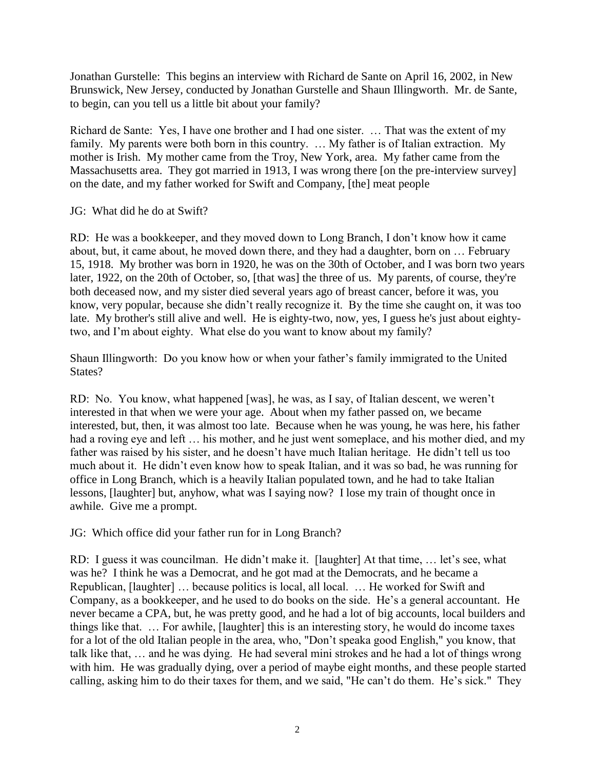Jonathan Gurstelle: This begins an interview with Richard de Sante on April 16, 2002, in New Brunswick, New Jersey, conducted by Jonathan Gurstelle and Shaun Illingworth. Mr. de Sante, to begin, can you tell us a little bit about your family?

Richard de Sante: Yes, I have one brother and I had one sister. … That was the extent of my family. My parents were both born in this country. ... My father is of Italian extraction. My mother is Irish. My mother came from the Troy, New York, area. My father came from the Massachusetts area. They got married in 1913, I was wrong there [on the pre-interview survey] on the date, and my father worked for Swift and Company, [the] meat people

### JG: What did he do at Swift?

RD: He was a bookkeeper, and they moved down to Long Branch, I don't know how it came about, but, it came about, he moved down there, and they had a daughter, born on … February 15, 1918. My brother was born in 1920, he was on the 30th of October, and I was born two years later, 1922, on the 20th of October, so, [that was] the three of us. My parents, of course, they're both deceased now, and my sister died several years ago of breast cancer, before it was, you know, very popular, because she didn't really recognize it. By the time she caught on, it was too late. My brother's still alive and well. He is eighty-two, now, yes, I guess he's just about eightytwo, and I'm about eighty. What else do you want to know about my family?

Shaun Illingworth: Do you know how or when your father's family immigrated to the United States?

RD: No. You know, what happened [was], he was, as I say, of Italian descent, we weren't interested in that when we were your age. About when my father passed on, we became interested, but, then, it was almost too late. Because when he was young, he was here, his father had a roving eye and left ... his mother, and he just went someplace, and his mother died, and my father was raised by his sister, and he doesn't have much Italian heritage. He didn't tell us too much about it. He didn't even know how to speak Italian, and it was so bad, he was running for office in Long Branch, which is a heavily Italian populated town, and he had to take Italian lessons, [laughter] but, anyhow, what was I saying now? I lose my train of thought once in awhile. Give me a prompt.

JG: Which office did your father run for in Long Branch?

RD: I guess it was councilman. He didn't make it. [laughter] At that time, … let's see, what was he? I think he was a Democrat, and he got mad at the Democrats, and he became a Republican, [laughter] … because politics is local, all local. … He worked for Swift and Company, as a bookkeeper, and he used to do books on the side. He's a general accountant. He never became a CPA, but, he was pretty good, and he had a lot of big accounts, local builders and things like that. … For awhile, [laughter] this is an interesting story, he would do income taxes for a lot of the old Italian people in the area, who, "Don't speaka good English," you know, that talk like that, … and he was dying. He had several mini strokes and he had a lot of things wrong with him. He was gradually dying, over a period of maybe eight months, and these people started calling, asking him to do their taxes for them, and we said, "He can't do them. He's sick." They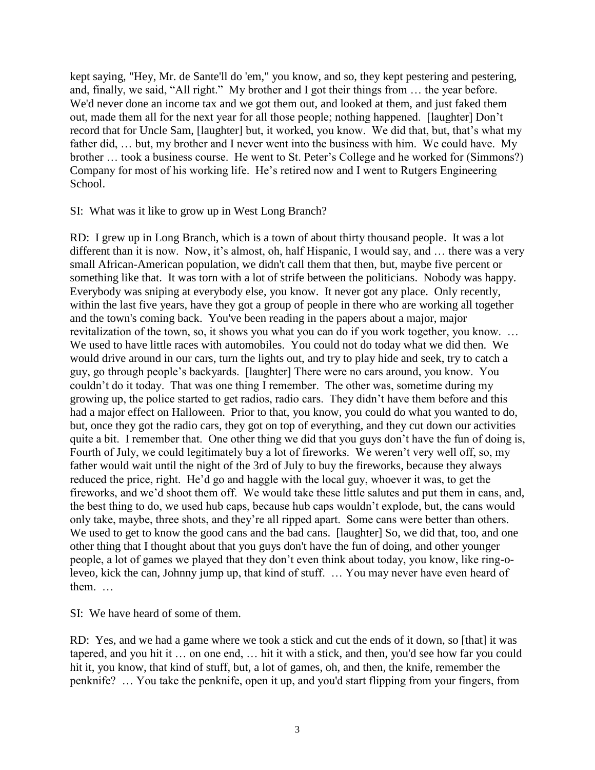kept saying, "Hey, Mr. de Sante'll do 'em," you know, and so, they kept pestering and pestering, and, finally, we said, "All right." My brother and I got their things from … the year before. We'd never done an income tax and we got them out, and looked at them, and just faked them out, made them all for the next year for all those people; nothing happened. [laughter] Don't record that for Uncle Sam, [laughter] but, it worked, you know. We did that, but, that's what my father did, … but, my brother and I never went into the business with him. We could have. My brother … took a business course. He went to St. Peter's College and he worked for (Simmons?) Company for most of his working life. He's retired now and I went to Rutgers Engineering School.

SI: What was it like to grow up in West Long Branch?

RD: I grew up in Long Branch, which is a town of about thirty thousand people. It was a lot different than it is now. Now, it's almost, oh, half Hispanic, I would say, and … there was a very small African-American population, we didn't call them that then, but, maybe five percent or something like that. It was torn with a lot of strife between the politicians. Nobody was happy. Everybody was sniping at everybody else, you know. It never got any place. Only recently, within the last five years, have they got a group of people in there who are working all together and the town's coming back. You've been reading in the papers about a major, major revitalization of the town, so, it shows you what you can do if you work together, you know. … We used to have little races with automobiles. You could not do today what we did then. We would drive around in our cars, turn the lights out, and try to play hide and seek, try to catch a guy, go through people's backyards. [laughter] There were no cars around, you know. You couldn't do it today. That was one thing I remember. The other was, sometime during my growing up, the police started to get radios, radio cars. They didn't have them before and this had a major effect on Halloween. Prior to that, you know, you could do what you wanted to do, but, once they got the radio cars, they got on top of everything, and they cut down our activities quite a bit. I remember that. One other thing we did that you guys don't have the fun of doing is, Fourth of July, we could legitimately buy a lot of fireworks. We weren't very well off, so, my father would wait until the night of the 3rd of July to buy the fireworks, because they always reduced the price, right. He'd go and haggle with the local guy, whoever it was, to get the fireworks, and we'd shoot them off. We would take these little salutes and put them in cans, and, the best thing to do, we used hub caps, because hub caps wouldn't explode, but, the cans would only take, maybe, three shots, and they're all ripped apart. Some cans were better than others. We used to get to know the good cans and the bad cans. [laughter] So, we did that, too, and one other thing that I thought about that you guys don't have the fun of doing, and other younger people, a lot of games we played that they don't even think about today, you know, like ring-oleveo, kick the can, Johnny jump up, that kind of stuff. … You may never have even heard of them. …

SI: We have heard of some of them.

RD: Yes, and we had a game where we took a stick and cut the ends of it down, so [that] it was tapered, and you hit it … on one end, … hit it with a stick, and then, you'd see how far you could hit it, you know, that kind of stuff, but, a lot of games, oh, and then, the knife, remember the penknife? … You take the penknife, open it up, and you'd start flipping from your fingers, from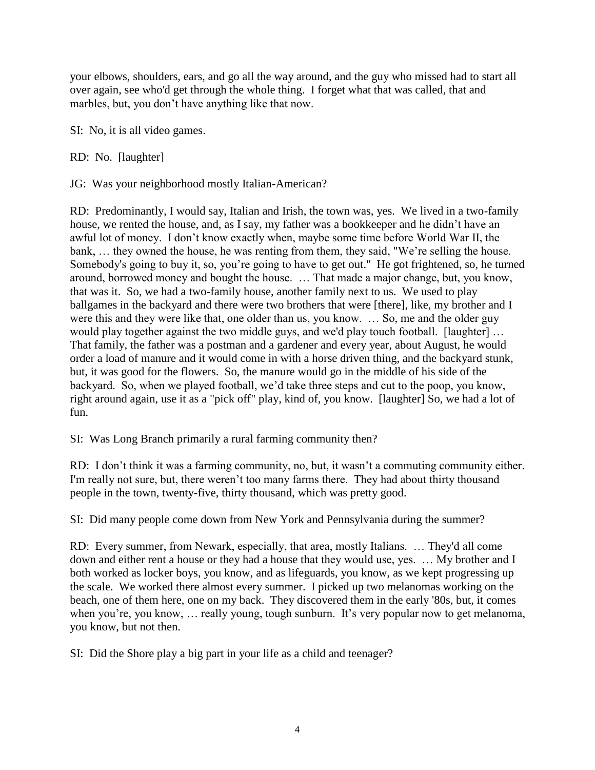your elbows, shoulders, ears, and go all the way around, and the guy who missed had to start all over again, see who'd get through the whole thing. I forget what that was called, that and marbles, but, you don't have anything like that now.

SI: No, it is all video games.

RD: No. [laughter]

JG: Was your neighborhood mostly Italian-American?

RD: Predominantly, I would say, Italian and Irish, the town was, yes. We lived in a two-family house, we rented the house, and, as I say, my father was a bookkeeper and he didn't have an awful lot of money. I don't know exactly when, maybe some time before World War II, the bank, … they owned the house, he was renting from them, they said, "We're selling the house. Somebody's going to buy it, so, you're going to have to get out." He got frightened, so, he turned around, borrowed money and bought the house. … That made a major change, but, you know, that was it. So, we had a two-family house, another family next to us. We used to play ballgames in the backyard and there were two brothers that were [there], like, my brother and I were this and they were like that, one older than us, you know. … So, me and the older guy would play together against the two middle guys, and we'd play touch football. [laughter] … That family, the father was a postman and a gardener and every year, about August, he would order a load of manure and it would come in with a horse driven thing, and the backyard stunk, but, it was good for the flowers. So, the manure would go in the middle of his side of the backyard. So, when we played football, we'd take three steps and cut to the poop, you know, right around again, use it as a "pick off" play, kind of, you know. [laughter] So, we had a lot of fun.

SI: Was Long Branch primarily a rural farming community then?

RD: I don't think it was a farming community, no, but, it wasn't a commuting community either. I'm really not sure, but, there weren't too many farms there. They had about thirty thousand people in the town, twenty-five, thirty thousand, which was pretty good.

SI: Did many people come down from New York and Pennsylvania during the summer?

RD: Every summer, from Newark, especially, that area, mostly Italians. … They'd all come down and either rent a house or they had a house that they would use, yes. … My brother and I both worked as locker boys, you know, and as lifeguards, you know, as we kept progressing up the scale. We worked there almost every summer. I picked up two melanomas working on the beach, one of them here, one on my back. They discovered them in the early '80s, but, it comes when you're, you know, … really young, tough sunburn. It's very popular now to get melanoma, you know, but not then.

SI: Did the Shore play a big part in your life as a child and teenager?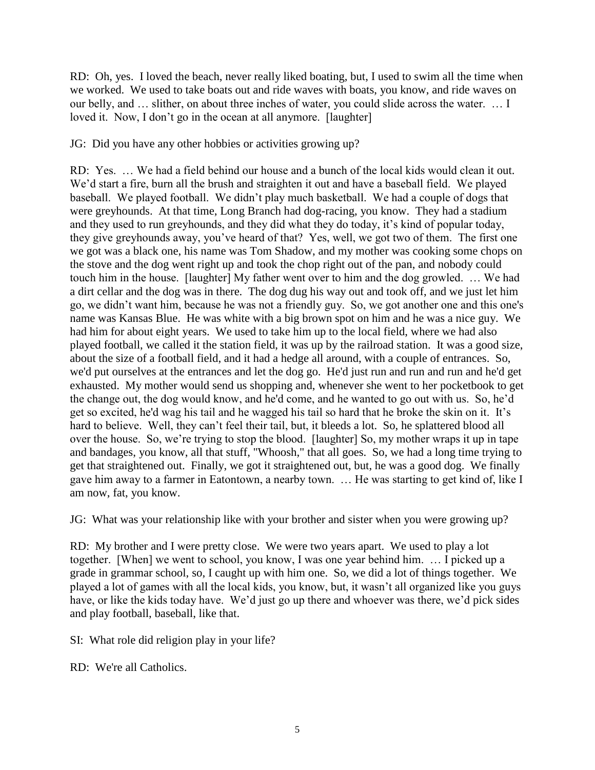RD: Oh, yes. I loved the beach, never really liked boating, but, I used to swim all the time when we worked. We used to take boats out and ride waves with boats, you know, and ride waves on our belly, and … slither, on about three inches of water, you could slide across the water. … I loved it. Now, I don't go in the ocean at all anymore. [laughter]

JG: Did you have any other hobbies or activities growing up?

RD: Yes. … We had a field behind our house and a bunch of the local kids would clean it out. We'd start a fire, burn all the brush and straighten it out and have a baseball field. We played baseball. We played football. We didn't play much basketball. We had a couple of dogs that were greyhounds. At that time, Long Branch had dog-racing, you know. They had a stadium and they used to run greyhounds, and they did what they do today, it's kind of popular today, they give greyhounds away, you've heard of that? Yes, well, we got two of them. The first one we got was a black one, his name was Tom Shadow, and my mother was cooking some chops on the stove and the dog went right up and took the chop right out of the pan, and nobody could touch him in the house. [laughter] My father went over to him and the dog growled. … We had a dirt cellar and the dog was in there. The dog dug his way out and took off, and we just let him go, we didn't want him, because he was not a friendly guy. So, we got another one and this one's name was Kansas Blue. He was white with a big brown spot on him and he was a nice guy. We had him for about eight years. We used to take him up to the local field, where we had also played football, we called it the station field, it was up by the railroad station. It was a good size, about the size of a football field, and it had a hedge all around, with a couple of entrances. So, we'd put ourselves at the entrances and let the dog go. He'd just run and run and run and he'd get exhausted. My mother would send us shopping and, whenever she went to her pocketbook to get the change out, the dog would know, and he'd come, and he wanted to go out with us. So, he'd get so excited, he'd wag his tail and he wagged his tail so hard that he broke the skin on it. It's hard to believe. Well, they can't feel their tail, but, it bleeds a lot. So, he splattered blood all over the house. So, we're trying to stop the blood. [laughter] So, my mother wraps it up in tape and bandages, you know, all that stuff, "Whoosh," that all goes. So, we had a long time trying to get that straightened out. Finally, we got it straightened out, but, he was a good dog. We finally gave him away to a farmer in Eatontown, a nearby town. … He was starting to get kind of, like I am now, fat, you know.

JG: What was your relationship like with your brother and sister when you were growing up?

RD: My brother and I were pretty close. We were two years apart. We used to play a lot together. [When] we went to school, you know, I was one year behind him. … I picked up a grade in grammar school, so, I caught up with him one. So, we did a lot of things together. We played a lot of games with all the local kids, you know, but, it wasn't all organized like you guys have, or like the kids today have. We'd just go up there and whoever was there, we'd pick sides and play football, baseball, like that.

SI: What role did religion play in your life?

RD: We're all Catholics.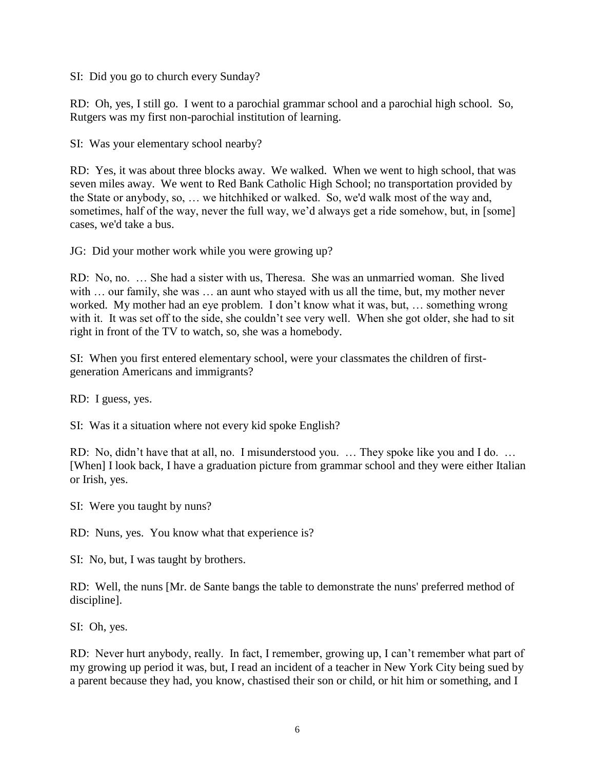SI: Did you go to church every Sunday?

RD: Oh, yes, I still go. I went to a parochial grammar school and a parochial high school. So, Rutgers was my first non-parochial institution of learning.

SI: Was your elementary school nearby?

RD: Yes, it was about three blocks away. We walked. When we went to high school, that was seven miles away. We went to Red Bank Catholic High School; no transportation provided by the State or anybody, so, … we hitchhiked or walked. So, we'd walk most of the way and, sometimes, half of the way, never the full way, we'd always get a ride somehow, but, in [some] cases, we'd take a bus.

JG: Did your mother work while you were growing up?

RD: No, no. … She had a sister with us, Theresa. She was an unmarried woman. She lived with ... our family, she was ... an aunt who stayed with us all the time, but, my mother never worked. My mother had an eye problem. I don't know what it was, but, … something wrong with it. It was set off to the side, she couldn't see very well. When she got older, she had to sit right in front of the TV to watch, so, she was a homebody.

SI: When you first entered elementary school, were your classmates the children of firstgeneration Americans and immigrants?

RD: I guess, yes.

SI: Was it a situation where not every kid spoke English?

RD: No, didn't have that at all, no. I misunderstood you. … They spoke like you and I do. … [When] I look back, I have a graduation picture from grammar school and they were either Italian or Irish, yes.

SI: Were you taught by nuns?

RD: Nuns, yes. You know what that experience is?

SI: No, but, I was taught by brothers.

RD: Well, the nuns [Mr. de Sante bangs the table to demonstrate the nuns' preferred method of discipline].

SI: Oh, yes.

RD: Never hurt anybody, really. In fact, I remember, growing up, I can't remember what part of my growing up period it was, but, I read an incident of a teacher in New York City being sued by a parent because they had, you know, chastised their son or child, or hit him or something, and I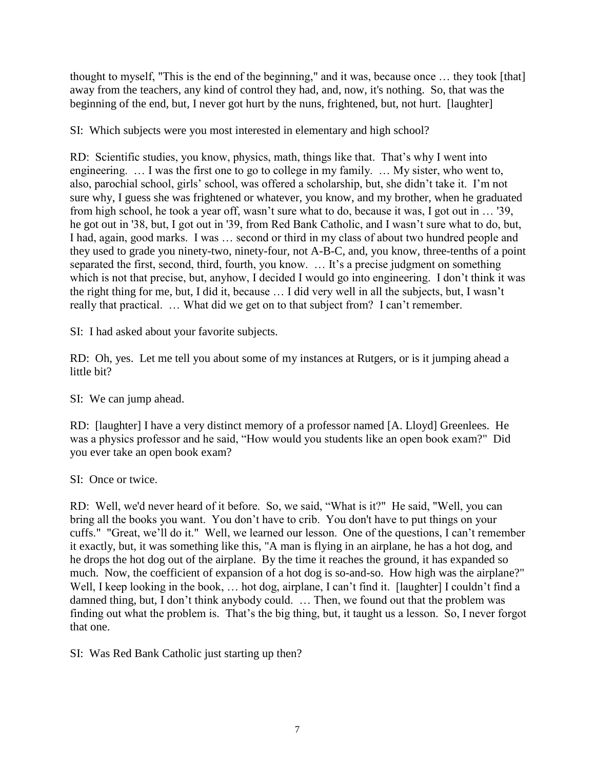thought to myself, "This is the end of the beginning," and it was, because once … they took [that] away from the teachers, any kind of control they had, and, now, it's nothing. So, that was the beginning of the end, but, I never got hurt by the nuns, frightened, but, not hurt. [laughter]

SI: Which subjects were you most interested in elementary and high school?

RD: Scientific studies, you know, physics, math, things like that. That's why I went into engineering. … I was the first one to go to college in my family. … My sister, who went to, also, parochial school, girls' school, was offered a scholarship, but, she didn't take it. I'm not sure why, I guess she was frightened or whatever, you know, and my brother, when he graduated from high school, he took a year off, wasn't sure what to do, because it was, I got out in … '39, he got out in '38, but, I got out in '39, from Red Bank Catholic, and I wasn't sure what to do, but, I had, again, good marks. I was … second or third in my class of about two hundred people and they used to grade you ninety-two, ninety-four, not A-B-C, and, you know, three-tenths of a point separated the first, second, third, fourth, you know. … It's a precise judgment on something which is not that precise, but, anyhow, I decided I would go into engineering. I don't think it was the right thing for me, but, I did it, because … I did very well in all the subjects, but, I wasn't really that practical. … What did we get on to that subject from? I can't remember.

SI: I had asked about your favorite subjects.

RD: Oh, yes. Let me tell you about some of my instances at Rutgers, or is it jumping ahead a little bit?

SI: We can jump ahead.

RD: [laughter] I have a very distinct memory of a professor named [A. Lloyd] Greenlees. He was a physics professor and he said, "How would you students like an open book exam?" Did you ever take an open book exam?

SI: Once or twice.

RD: Well, we'd never heard of it before. So, we said, "What is it?" He said, "Well, you can bring all the books you want. You don't have to crib. You don't have to put things on your cuffs." "Great, we'll do it." Well, we learned our lesson. One of the questions, I can't remember it exactly, but, it was something like this, "A man is flying in an airplane, he has a hot dog, and he drops the hot dog out of the airplane. By the time it reaches the ground, it has expanded so much. Now, the coefficient of expansion of a hot dog is so-and-so. How high was the airplane?" Well, I keep looking in the book, ... hot dog, airplane, I can't find it. [laughter] I couldn't find a damned thing, but, I don't think anybody could. … Then, we found out that the problem was finding out what the problem is. That's the big thing, but, it taught us a lesson. So, I never forgot that one.

SI: Was Red Bank Catholic just starting up then?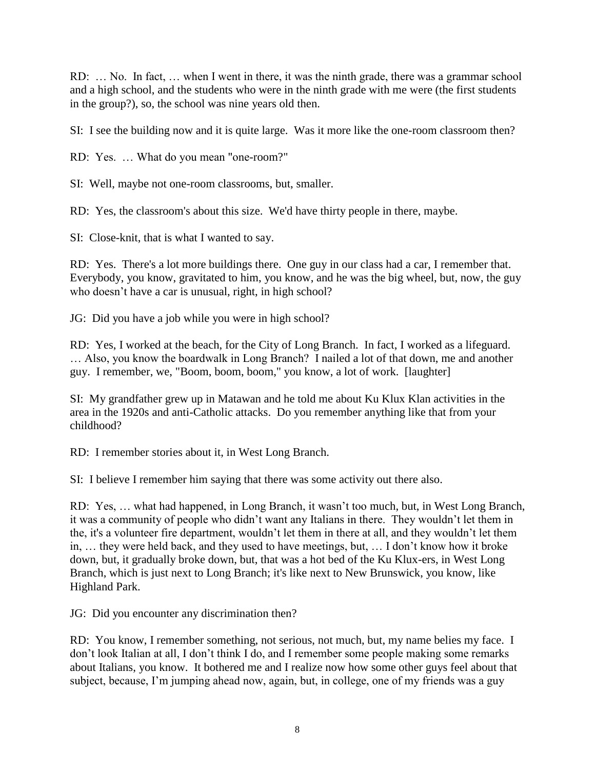RD: … No. In fact, … when I went in there, it was the ninth grade, there was a grammar school and a high school, and the students who were in the ninth grade with me were (the first students in the group?), so, the school was nine years old then.

SI: I see the building now and it is quite large. Was it more like the one-room classroom then?

RD: Yes. … What do you mean "one-room?"

SI: Well, maybe not one-room classrooms, but, smaller.

RD: Yes, the classroom's about this size. We'd have thirty people in there, maybe.

SI: Close-knit, that is what I wanted to say.

RD: Yes. There's a lot more buildings there. One guy in our class had a car, I remember that. Everybody, you know, gravitated to him, you know, and he was the big wheel, but, now, the guy who doesn't have a car is unusual, right, in high school?

JG: Did you have a job while you were in high school?

RD: Yes, I worked at the beach, for the City of Long Branch. In fact, I worked as a lifeguard. … Also, you know the boardwalk in Long Branch? I nailed a lot of that down, me and another guy. I remember, we, "Boom, boom, boom," you know, a lot of work. [laughter]

SI: My grandfather grew up in Matawan and he told me about Ku Klux Klan activities in the area in the 1920s and anti-Catholic attacks. Do you remember anything like that from your childhood?

RD: I remember stories about it, in West Long Branch.

SI: I believe I remember him saying that there was some activity out there also.

RD: Yes, … what had happened, in Long Branch, it wasn't too much, but, in West Long Branch, it was a community of people who didn't want any Italians in there. They wouldn't let them in the, it's a volunteer fire department, wouldn't let them in there at all, and they wouldn't let them in, … they were held back, and they used to have meetings, but, … I don't know how it broke down, but, it gradually broke down, but, that was a hot bed of the Ku Klux-ers, in West Long Branch, which is just next to Long Branch; it's like next to New Brunswick, you know, like Highland Park.

JG: Did you encounter any discrimination then?

RD: You know, I remember something, not serious, not much, but, my name belies my face. I don't look Italian at all, I don't think I do, and I remember some people making some remarks about Italians, you know. It bothered me and I realize now how some other guys feel about that subject, because, I'm jumping ahead now, again, but, in college, one of my friends was a guy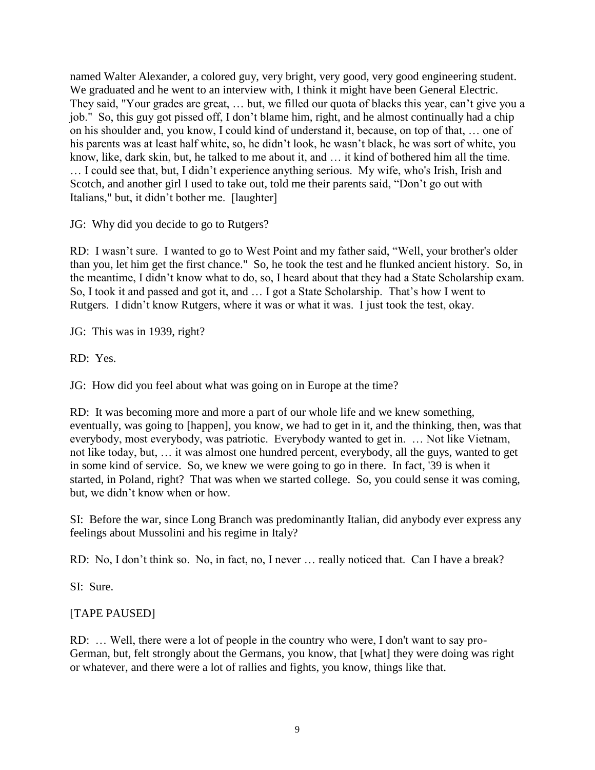named Walter Alexander, a colored guy, very bright, very good, very good engineering student. We graduated and he went to an interview with, I think it might have been General Electric. They said, "Your grades are great, … but, we filled our quota of blacks this year, can't give you a job." So, this guy got pissed off, I don't blame him, right, and he almost continually had a chip on his shoulder and, you know, I could kind of understand it, because, on top of that, … one of his parents was at least half white, so, he didn't look, he wasn't black, he was sort of white, you know, like, dark skin, but, he talked to me about it, and … it kind of bothered him all the time. … I could see that, but, I didn't experience anything serious. My wife, who's Irish, Irish and Scotch, and another girl I used to take out, told me their parents said, "Don't go out with Italians," but, it didn't bother me. [laughter]

JG: Why did you decide to go to Rutgers?

RD: I wasn't sure. I wanted to go to West Point and my father said, "Well, your brother's older than you, let him get the first chance." So, he took the test and he flunked ancient history. So, in the meantime, I didn't know what to do, so, I heard about that they had a State Scholarship exam. So, I took it and passed and got it, and … I got a State Scholarship. That's how I went to Rutgers. I didn't know Rutgers, where it was or what it was. I just took the test, okay.

JG: This was in 1939, right?

RD: Yes.

JG: How did you feel about what was going on in Europe at the time?

RD: It was becoming more and more a part of our whole life and we knew something, eventually, was going to [happen], you know, we had to get in it, and the thinking, then, was that everybody, most everybody, was patriotic. Everybody wanted to get in. … Not like Vietnam, not like today, but, … it was almost one hundred percent, everybody, all the guys, wanted to get in some kind of service. So, we knew we were going to go in there. In fact, '39 is when it started, in Poland, right? That was when we started college. So, you could sense it was coming, but, we didn't know when or how.

SI: Before the war, since Long Branch was predominantly Italian, did anybody ever express any feelings about Mussolini and his regime in Italy?

RD: No, I don't think so. No, in fact, no, I never … really noticed that. Can I have a break?

SI: Sure.

# [TAPE PAUSED]

RD: … Well, there were a lot of people in the country who were, I don't want to say pro-German, but, felt strongly about the Germans, you know, that [what] they were doing was right or whatever, and there were a lot of rallies and fights, you know, things like that.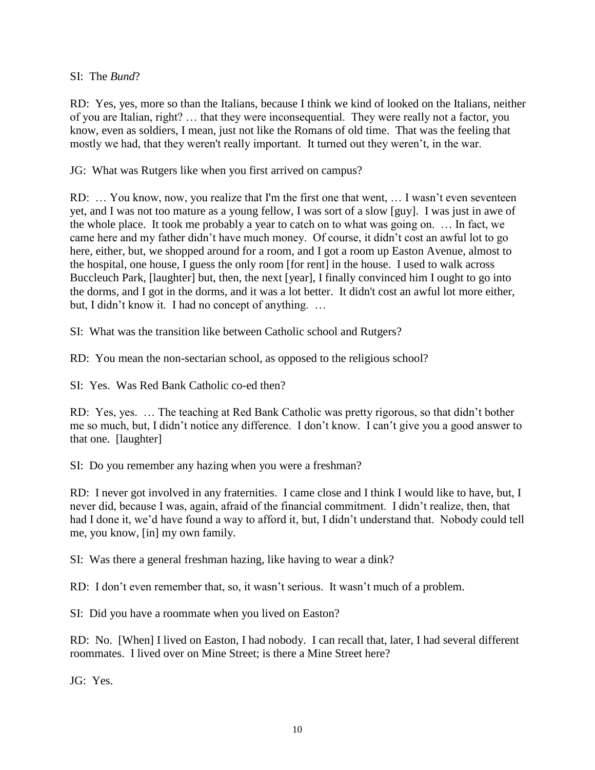## SI: The *Bund*?

RD: Yes, yes, more so than the Italians, because I think we kind of looked on the Italians, neither of you are Italian, right? … that they were inconsequential. They were really not a factor, you know, even as soldiers, I mean, just not like the Romans of old time. That was the feeling that mostly we had, that they weren't really important. It turned out they weren't, in the war.

JG: What was Rutgers like when you first arrived on campus?

RD: … You know, now, you realize that I'm the first one that went, … I wasn't even seventeen yet, and I was not too mature as a young fellow, I was sort of a slow [guy]. I was just in awe of the whole place. It took me probably a year to catch on to what was going on. … In fact, we came here and my father didn't have much money. Of course, it didn't cost an awful lot to go here, either, but, we shopped around for a room, and I got a room up Easton Avenue, almost to the hospital, one house, I guess the only room [for rent] in the house. I used to walk across Buccleuch Park, [laughter] but, then, the next [year], I finally convinced him I ought to go into the dorms, and I got in the dorms, and it was a lot better. It didn't cost an awful lot more either, but, I didn't know it. I had no concept of anything. …

SI: What was the transition like between Catholic school and Rutgers?

RD: You mean the non-sectarian school, as opposed to the religious school?

SI: Yes. Was Red Bank Catholic co-ed then?

RD: Yes, yes. … The teaching at Red Bank Catholic was pretty rigorous, so that didn't bother me so much, but, I didn't notice any difference. I don't know. I can't give you a good answer to that one. [laughter]

SI: Do you remember any hazing when you were a freshman?

RD: I never got involved in any fraternities. I came close and I think I would like to have, but, I never did, because I was, again, afraid of the financial commitment. I didn't realize, then, that had I done it, we'd have found a way to afford it, but, I didn't understand that. Nobody could tell me, you know, [in] my own family.

SI: Was there a general freshman hazing, like having to wear a dink?

RD: I don't even remember that, so, it wasn't serious. It wasn't much of a problem.

SI: Did you have a roommate when you lived on Easton?

RD: No. [When] I lived on Easton, I had nobody. I can recall that, later, I had several different roommates. I lived over on Mine Street; is there a Mine Street here?

JG: Yes.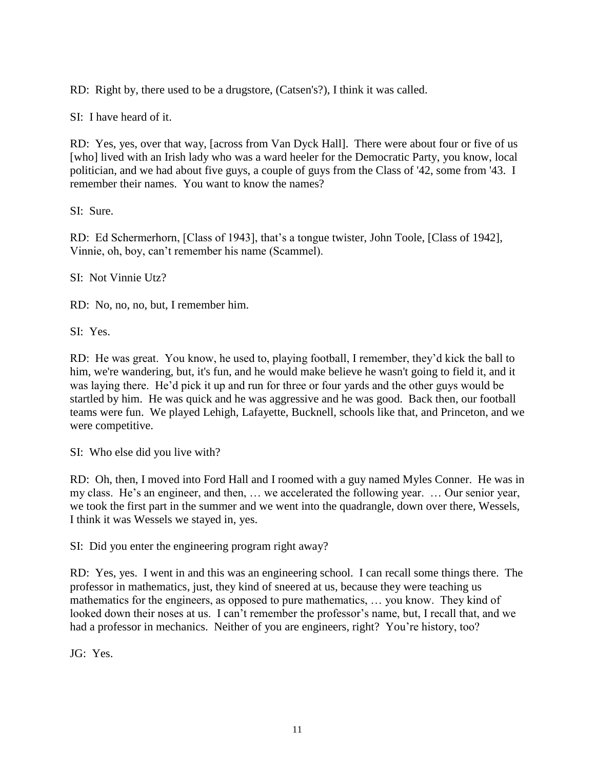RD: Right by, there used to be a drugstore, (Catsen's?), I think it was called.

SI: I have heard of it.

RD: Yes, yes, over that way, [across from Van Dyck Hall]. There were about four or five of us [who] lived with an Irish lady who was a ward heeler for the Democratic Party, you know, local politician, and we had about five guys, a couple of guys from the Class of '42, some from '43. I remember their names. You want to know the names?

SI: Sure.

RD: Ed Schermerhorn, [Class of 1943], that's a tongue twister, John Toole, [Class of 1942], Vinnie, oh, boy, can't remember his name (Scammel).

SI: Not Vinnie Utz?

RD: No, no, no, but, I remember him.

SI: Yes.

RD: He was great. You know, he used to, playing football, I remember, they'd kick the ball to him, we're wandering, but, it's fun, and he would make believe he wasn't going to field it, and it was laying there. He'd pick it up and run for three or four yards and the other guys would be startled by him. He was quick and he was aggressive and he was good. Back then, our football teams were fun. We played Lehigh, Lafayette, Bucknell, schools like that, and Princeton, and we were competitive.

SI: Who else did you live with?

RD: Oh, then, I moved into Ford Hall and I roomed with a guy named Myles Conner. He was in my class. He's an engineer, and then, … we accelerated the following year. … Our senior year, we took the first part in the summer and we went into the quadrangle, down over there, Wessels, I think it was Wessels we stayed in, yes.

SI: Did you enter the engineering program right away?

RD: Yes, yes. I went in and this was an engineering school. I can recall some things there. The professor in mathematics, just, they kind of sneered at us, because they were teaching us mathematics for the engineers, as opposed to pure mathematics, … you know. They kind of looked down their noses at us. I can't remember the professor's name, but, I recall that, and we had a professor in mechanics. Neither of you are engineers, right? You're history, too?

JG: Yes.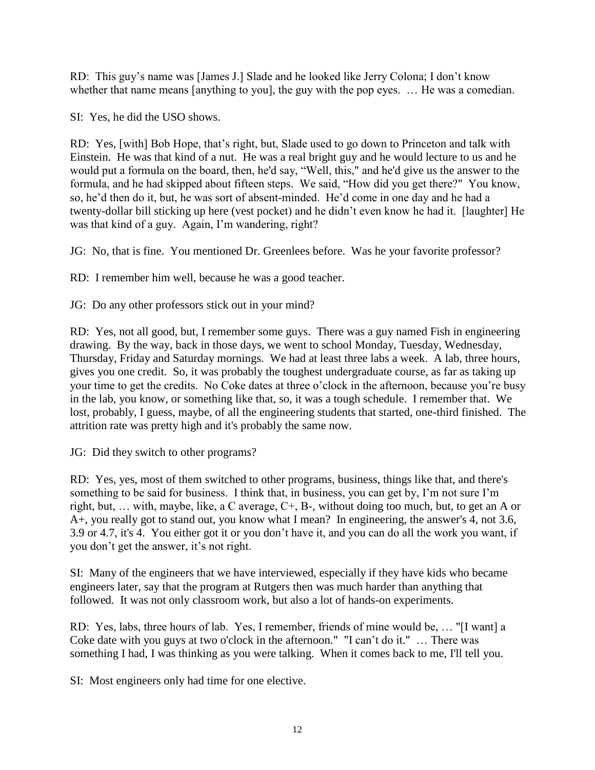RD: This guy's name was [James J.] Slade and he looked like Jerry Colona; I don't know whether that name means [anything to you], the guy with the pop eyes. ... He was a comedian.

SI: Yes, he did the USO shows.

RD: Yes, [with] Bob Hope, that's right, but, Slade used to go down to Princeton and talk with Einstein. He was that kind of a nut. He was a real bright guy and he would lecture to us and he would put a formula on the board, then, he'd say, "Well, this," and he'd give us the answer to the formula, and he had skipped about fifteen steps. We said, "How did you get there?" You know, so, he'd then do it, but, he was sort of absent-minded. He'd come in one day and he had a twenty-dollar bill sticking up here (vest pocket) and he didn't even know he had it. [laughter] He was that kind of a guy. Again, I'm wandering, right?

JG: No, that is fine. You mentioned Dr. Greenlees before. Was he your favorite professor?

RD: I remember him well, because he was a good teacher.

JG: Do any other professors stick out in your mind?

RD: Yes, not all good, but, I remember some guys. There was a guy named Fish in engineering drawing. By the way, back in those days, we went to school Monday, Tuesday, Wednesday, Thursday, Friday and Saturday mornings. We had at least three labs a week. A lab, three hours, gives you one credit. So, it was probably the toughest undergraduate course, as far as taking up your time to get the credits. No Coke dates at three o'clock in the afternoon, because you're busy in the lab, you know, or something like that, so, it was a tough schedule. I remember that. We lost, probably, I guess, maybe, of all the engineering students that started, one-third finished. The attrition rate was pretty high and it's probably the same now.

JG: Did they switch to other programs?

RD: Yes, yes, most of them switched to other programs, business, things like that, and there's something to be said for business. I think that, in business, you can get by, I'm not sure I'm right, but, … with, maybe, like, a C average, C+, B-, without doing too much, but, to get an A or A+, you really got to stand out, you know what I mean? In engineering, the answer's 4, not 3.6, 3.9 or 4.7, it's 4. You either got it or you don't have it, and you can do all the work you want, if you don't get the answer, it's not right.

SI: Many of the engineers that we have interviewed, especially if they have kids who became engineers later, say that the program at Rutgers then was much harder than anything that followed. It was not only classroom work, but also a lot of hands-on experiments.

RD: Yes, labs, three hours of lab. Yes, I remember, friends of mine would be, … "[I want] a Coke date with you guys at two o'clock in the afternoon." "I can't do it." … There was something I had, I was thinking as you were talking. When it comes back to me, I'll tell you.

SI: Most engineers only had time for one elective.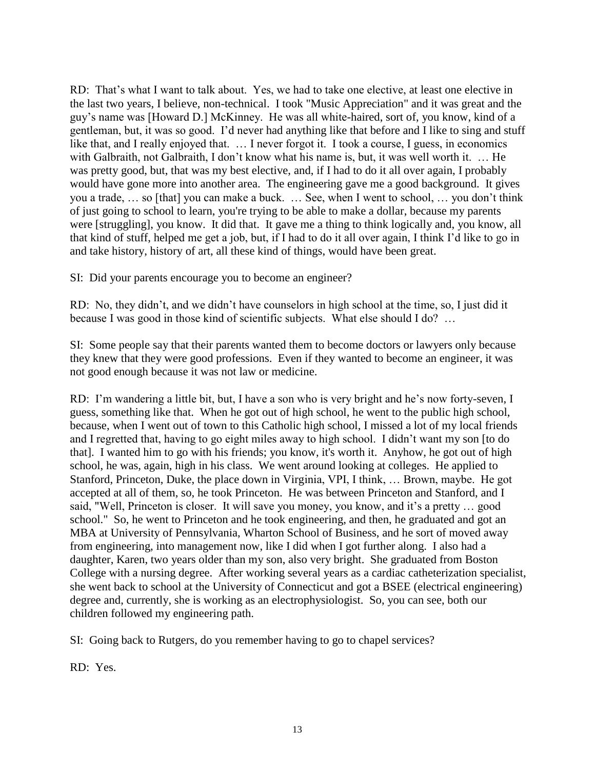RD: That's what I want to talk about. Yes, we had to take one elective, at least one elective in the last two years, I believe, non-technical. I took "Music Appreciation" and it was great and the guy's name was [Howard D.] McKinney. He was all white-haired, sort of, you know, kind of a gentleman, but, it was so good. I'd never had anything like that before and I like to sing and stuff like that, and I really enjoyed that. … I never forgot it. I took a course, I guess, in economics with Galbraith, not Galbraith, I don't know what his name is, but, it was well worth it. ... He was pretty good, but, that was my best elective, and, if I had to do it all over again, I probably would have gone more into another area. The engineering gave me a good background. It gives you a trade, … so [that] you can make a buck. … See, when I went to school, … you don't think of just going to school to learn, you're trying to be able to make a dollar, because my parents were [struggling], you know. It did that. It gave me a thing to think logically and, you know, all that kind of stuff, helped me get a job, but, if I had to do it all over again, I think I'd like to go in and take history, history of art, all these kind of things, would have been great.

SI: Did your parents encourage you to become an engineer?

RD: No, they didn't, and we didn't have counselors in high school at the time, so, I just did it because I was good in those kind of scientific subjects. What else should I do? …

SI: Some people say that their parents wanted them to become doctors or lawyers only because they knew that they were good professions. Even if they wanted to become an engineer, it was not good enough because it was not law or medicine.

RD: I'm wandering a little bit, but, I have a son who is very bright and he's now forty-seven, I guess, something like that. When he got out of high school, he went to the public high school, because, when I went out of town to this Catholic high school, I missed a lot of my local friends and I regretted that, having to go eight miles away to high school. I didn't want my son [to do that]. I wanted him to go with his friends; you know, it's worth it. Anyhow, he got out of high school, he was, again, high in his class. We went around looking at colleges. He applied to Stanford, Princeton, Duke, the place down in Virginia, VPI, I think, … Brown, maybe. He got accepted at all of them, so, he took Princeton. He was between Princeton and Stanford, and I said, "Well, Princeton is closer. It will save you money, you know, and it's a pretty … good school." So, he went to Princeton and he took engineering, and then, he graduated and got an MBA at University of Pennsylvania, Wharton School of Business, and he sort of moved away from engineering, into management now, like I did when I got further along. I also had a daughter, Karen, two years older than my son, also very bright. She graduated from Boston College with a nursing degree. After working several years as a cardiac catheterization specialist, she went back to school at the University of Connecticut and got a BSEE (electrical engineering) degree and, currently, she is working as an electrophysiologist. So, you can see, both our children followed my engineering path.

SI: Going back to Rutgers, do you remember having to go to chapel services?

RD: Yes.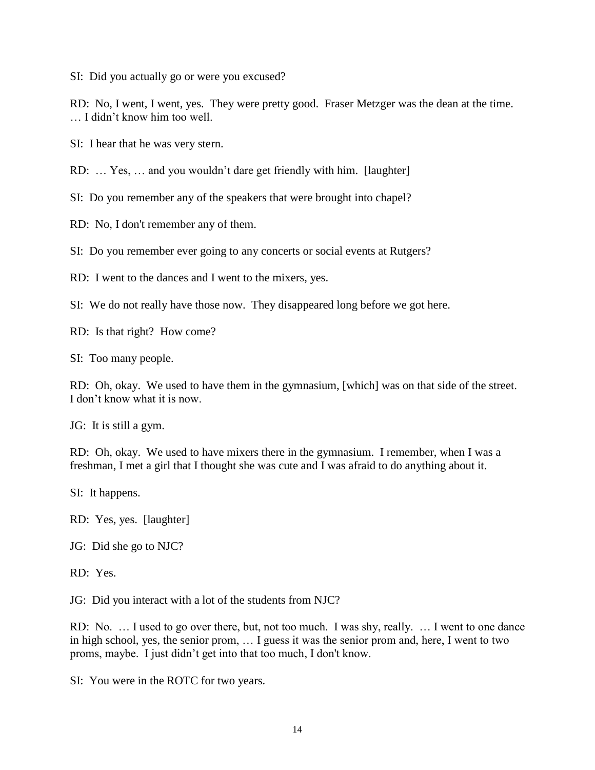SI: Did you actually go or were you excused?

RD: No, I went, I went, yes. They were pretty good. Fraser Metzger was the dean at the time. … I didn't know him too well.

SI: I hear that he was very stern.

RD: … Yes, … and you wouldn't dare get friendly with him. [laughter]

SI: Do you remember any of the speakers that were brought into chapel?

RD: No, I don't remember any of them.

SI: Do you remember ever going to any concerts or social events at Rutgers?

RD: I went to the dances and I went to the mixers, yes.

SI: We do not really have those now. They disappeared long before we got here.

RD: Is that right? How come?

SI: Too many people.

RD: Oh, okay. We used to have them in the gymnasium, [which] was on that side of the street. I don't know what it is now.

JG: It is still a gym.

RD: Oh, okay. We used to have mixers there in the gymnasium. I remember, when I was a freshman, I met a girl that I thought she was cute and I was afraid to do anything about it.

SI: It happens.

RD: Yes, yes. [laughter]

JG: Did she go to NJC?

RD: Yes.

JG: Did you interact with a lot of the students from NJC?

RD: No. … I used to go over there, but, not too much. I was shy, really. … I went to one dance in high school, yes, the senior prom, … I guess it was the senior prom and, here, I went to two proms, maybe. I just didn't get into that too much, I don't know.

SI: You were in the ROTC for two years.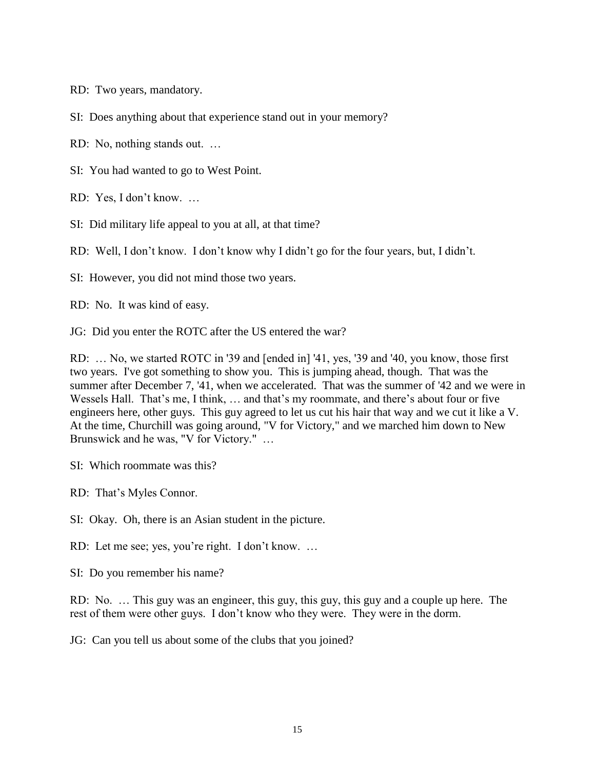RD: Two years, mandatory.

SI: Does anything about that experience stand out in your memory?

RD: No, nothing stands out. …

SI: You had wanted to go to West Point.

RD: Yes, I don't know. …

SI: Did military life appeal to you at all, at that time?

RD: Well, I don't know. I don't know why I didn't go for the four years, but, I didn't.

SI: However, you did not mind those two years.

RD: No. It was kind of easy.

JG: Did you enter the ROTC after the US entered the war?

RD: … No, we started ROTC in '39 and [ended in] '41, yes, '39 and '40, you know, those first two years. I've got something to show you. This is jumping ahead, though. That was the summer after December 7, '41, when we accelerated. That was the summer of '42 and we were in Wessels Hall. That's me, I think, … and that's my roommate, and there's about four or five engineers here, other guys. This guy agreed to let us cut his hair that way and we cut it like a V. At the time, Churchill was going around, "V for Victory," and we marched him down to New Brunswick and he was, "V for Victory." …

SI: Which roommate was this?

RD: That's Myles Connor.

SI: Okay. Oh, there is an Asian student in the picture.

RD: Let me see; yes, you're right. I don't know. …

SI: Do you remember his name?

RD: No. … This guy was an engineer, this guy, this guy, this guy and a couple up here. The rest of them were other guys. I don't know who they were. They were in the dorm.

JG: Can you tell us about some of the clubs that you joined?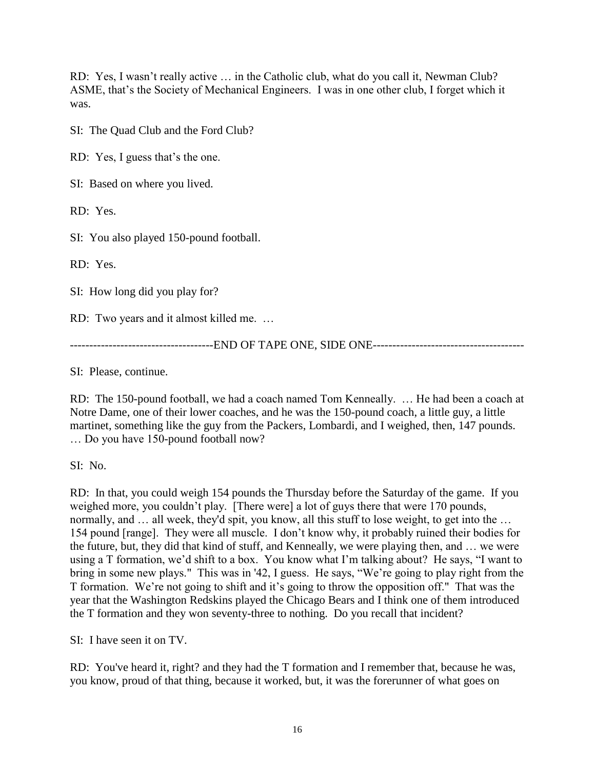RD: Yes, I wasn't really active … in the Catholic club, what do you call it, Newman Club? ASME, that's the Society of Mechanical Engineers. I was in one other club, I forget which it was.

SI: The Quad Club and the Ford Club?

RD: Yes, I guess that's the one.

SI: Based on where you lived.

RD: Yes.

SI: You also played 150-pound football.

RD: Yes.

SI: How long did you play for?

RD: Two years and it almost killed me. …

-------------------------------------END OF TAPE ONE, SIDE ONE---------------------------------------

SI: Please, continue.

RD: The 150-pound football, we had a coach named Tom Kenneally. … He had been a coach at Notre Dame, one of their lower coaches, and he was the 150-pound coach, a little guy, a little martinet, something like the guy from the Packers, Lombardi, and I weighed, then, 147 pounds. … Do you have 150-pound football now?

SI: No.

RD: In that, you could weigh 154 pounds the Thursday before the Saturday of the game. If you weighed more, you couldn't play. [There were] a lot of guys there that were 170 pounds, normally, and … all week, they'd spit, you know, all this stuff to lose weight, to get into the … 154 pound [range]. They were all muscle. I don't know why, it probably ruined their bodies for the future, but, they did that kind of stuff, and Kenneally, we were playing then, and … we were using a T formation, we'd shift to a box. You know what I'm talking about? He says, "I want to bring in some new plays." This was in '42, I guess. He says, "We're going to play right from the T formation. We're not going to shift and it's going to throw the opposition off." That was the year that the Washington Redskins played the Chicago Bears and I think one of them introduced the T formation and they won seventy-three to nothing. Do you recall that incident?

SI: I have seen it on TV.

RD: You've heard it, right? and they had the T formation and I remember that, because he was, you know, proud of that thing, because it worked, but, it was the forerunner of what goes on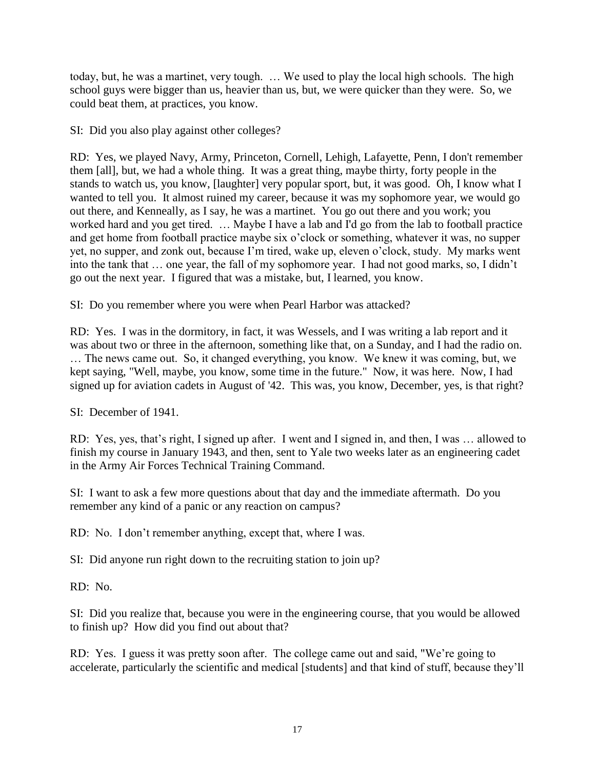today, but, he was a martinet, very tough. … We used to play the local high schools. The high school guys were bigger than us, heavier than us, but, we were quicker than they were. So, we could beat them, at practices, you know.

SI: Did you also play against other colleges?

RD: Yes, we played Navy, Army, Princeton, Cornell, Lehigh, Lafayette, Penn, I don't remember them [all], but, we had a whole thing. It was a great thing, maybe thirty, forty people in the stands to watch us, you know, [laughter] very popular sport, but, it was good. Oh, I know what I wanted to tell you. It almost ruined my career, because it was my sophomore year, we would go out there, and Kenneally, as I say, he was a martinet. You go out there and you work; you worked hard and you get tired. … Maybe I have a lab and I'd go from the lab to football practice and get home from football practice maybe six o'clock or something, whatever it was, no supper yet, no supper, and zonk out, because I'm tired, wake up, eleven o'clock, study. My marks went into the tank that … one year, the fall of my sophomore year. I had not good marks, so, I didn't go out the next year. I figured that was a mistake, but, I learned, you know.

SI: Do you remember where you were when Pearl Harbor was attacked?

RD: Yes. I was in the dormitory, in fact, it was Wessels, and I was writing a lab report and it was about two or three in the afternoon, something like that, on a Sunday, and I had the radio on. … The news came out. So, it changed everything, you know. We knew it was coming, but, we kept saying, "Well, maybe, you know, some time in the future." Now, it was here. Now, I had signed up for aviation cadets in August of '42. This was, you know, December, yes, is that right?

SI: December of 1941.

RD: Yes, yes, that's right, I signed up after. I went and I signed in, and then, I was … allowed to finish my course in January 1943, and then, sent to Yale two weeks later as an engineering cadet in the Army Air Forces Technical Training Command.

SI: I want to ask a few more questions about that day and the immediate aftermath. Do you remember any kind of a panic or any reaction on campus?

RD: No. I don't remember anything, except that, where I was.

SI: Did anyone run right down to the recruiting station to join up?

RD: No.

SI: Did you realize that, because you were in the engineering course, that you would be allowed to finish up? How did you find out about that?

RD: Yes. I guess it was pretty soon after. The college came out and said, "We're going to accelerate, particularly the scientific and medical [students] and that kind of stuff, because they'll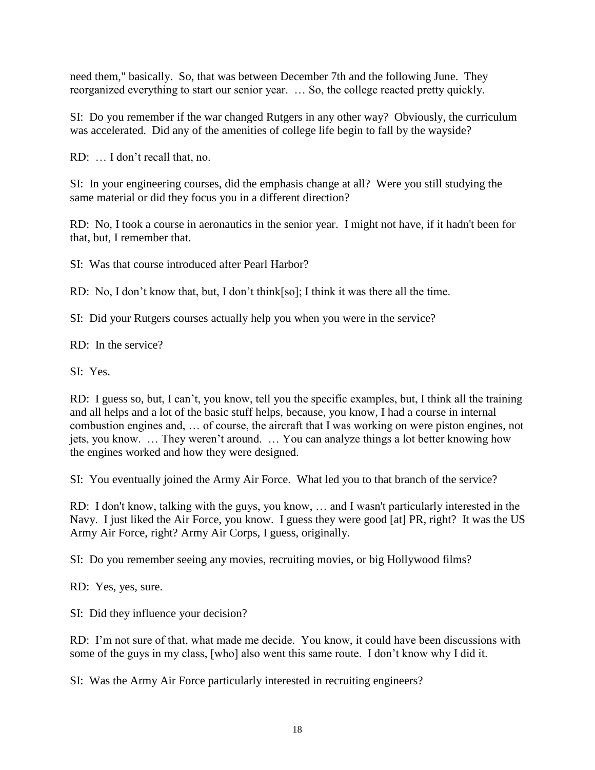need them," basically. So, that was between December 7th and the following June. They reorganized everything to start our senior year. … So, the college reacted pretty quickly.

SI: Do you remember if the war changed Rutgers in any other way? Obviously, the curriculum was accelerated. Did any of the amenities of college life begin to fall by the wayside?

RD: … I don't recall that, no.

SI: In your engineering courses, did the emphasis change at all? Were you still studying the same material or did they focus you in a different direction?

RD: No, I took a course in aeronautics in the senior year. I might not have, if it hadn't been for that, but, I remember that.

SI: Was that course introduced after Pearl Harbor?

RD: No, I don't know that, but, I don't think[so]; I think it was there all the time.

SI: Did your Rutgers courses actually help you when you were in the service?

RD: In the service?

SI: Yes.

RD: I guess so, but, I can't, you know, tell you the specific examples, but, I think all the training and all helps and a lot of the basic stuff helps, because, you know, I had a course in internal combustion engines and, … of course, the aircraft that I was working on were piston engines, not jets, you know. … They weren't around. … You can analyze things a lot better knowing how the engines worked and how they were designed.

SI: You eventually joined the Army Air Force. What led you to that branch of the service?

RD: I don't know, talking with the guys, you know, … and I wasn't particularly interested in the Navy. I just liked the Air Force, you know. I guess they were good [at] PR, right? It was the US Army Air Force, right? Army Air Corps, I guess, originally.

SI: Do you remember seeing any movies, recruiting movies, or big Hollywood films?

RD: Yes, yes, sure.

SI: Did they influence your decision?

RD: I'm not sure of that, what made me decide. You know, it could have been discussions with some of the guys in my class, [who] also went this same route. I don't know why I did it.

SI: Was the Army Air Force particularly interested in recruiting engineers?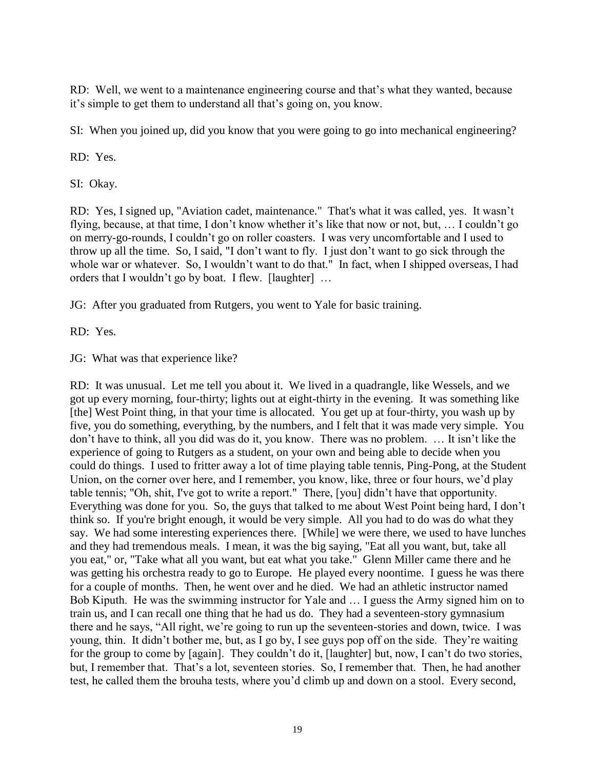RD: Well, we went to a maintenance engineering course and that's what they wanted, because it's simple to get them to understand all that's going on, you know.

SI: When you joined up, did you know that you were going to go into mechanical engineering?

RD: Yes.

SI: Okay.

RD: Yes, I signed up, "Aviation cadet, maintenance." That's what it was called, yes. It wasn't flying, because, at that time, I don't know whether it's like that now or not, but, … I couldn't go on merry-go-rounds, I couldn't go on roller coasters. I was very uncomfortable and I used to throw up all the time. So, I said, "I don't want to fly. I just don't want to go sick through the whole war or whatever. So, I wouldn't want to do that." In fact, when I shipped overseas, I had orders that I wouldn't go by boat. I flew. [laughter] …

JG: After you graduated from Rutgers, you went to Yale for basic training.

RD: Yes.

JG: What was that experience like?

RD: It was unusual. Let me tell you about it. We lived in a quadrangle, like Wessels, and we got up every morning, four-thirty; lights out at eight-thirty in the evening. It was something like [the] West Point thing, in that your time is allocated. You get up at four-thirty, you wash up by five, you do something, everything, by the numbers, and I felt that it was made very simple. You don't have to think, all you did was do it, you know. There was no problem. … It isn't like the experience of going to Rutgers as a student, on your own and being able to decide when you could do things. I used to fritter away a lot of time playing table tennis, Ping-Pong, at the Student Union, on the corner over here, and I remember, you know, like, three or four hours, we'd play table tennis; "Oh, shit, I've got to write a report." There, [you] didn't have that opportunity. Everything was done for you. So, the guys that talked to me about West Point being hard, I don't think so. If you're bright enough, it would be very simple. All you had to do was do what they say. We had some interesting experiences there. [While] we were there, we used to have lunches and they had tremendous meals. I mean, it was the big saying, "Eat all you want, but, take all you eat," or, "Take what all you want, but eat what you take." Glenn Miller came there and he was getting his orchestra ready to go to Europe. He played every noontime. I guess he was there for a couple of months. Then, he went over and he died. We had an athletic instructor named Bob Kiputh. He was the swimming instructor for Yale and … I guess the Army signed him on to train us, and I can recall one thing that he had us do. They had a seventeen-story gymnasium there and he says, "All right, we're going to run up the seventeen-stories and down, twice. I was young, thin. It didn't bother me, but, as I go by, I see guys pop off on the side. They're waiting for the group to come by [again]. They couldn't do it, [laughter] but, now, I can't do two stories, but, I remember that. That's a lot, seventeen stories. So, I remember that. Then, he had another test, he called them the brouha tests, where you'd climb up and down on a stool. Every second,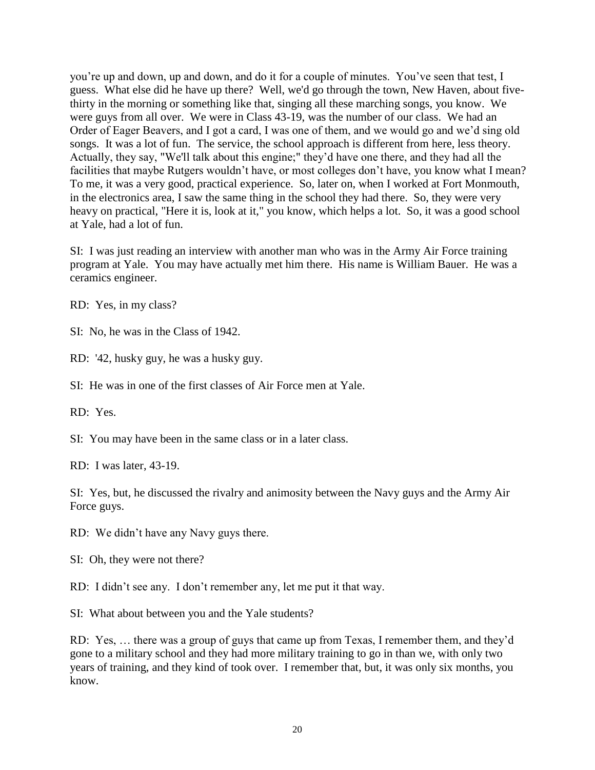you're up and down, up and down, and do it for a couple of minutes. You've seen that test, I guess. What else did he have up there? Well, we'd go through the town, New Haven, about fivethirty in the morning or something like that, singing all these marching songs, you know. We were guys from all over. We were in Class 43-19, was the number of our class. We had an Order of Eager Beavers, and I got a card, I was one of them, and we would go and we'd sing old songs. It was a lot of fun. The service, the school approach is different from here, less theory. Actually, they say, "We'll talk about this engine;" they'd have one there, and they had all the facilities that maybe Rutgers wouldn't have, or most colleges don't have, you know what I mean? To me, it was a very good, practical experience. So, later on, when I worked at Fort Monmouth, in the electronics area, I saw the same thing in the school they had there. So, they were very heavy on practical, "Here it is, look at it," you know, which helps a lot. So, it was a good school at Yale, had a lot of fun.

SI: I was just reading an interview with another man who was in the Army Air Force training program at Yale. You may have actually met him there. His name is William Bauer. He was a ceramics engineer.

RD: Yes, in my class?

SI: No, he was in the Class of 1942.

RD: '42, husky guy, he was a husky guy.

SI: He was in one of the first classes of Air Force men at Yale.

RD: Yes.

SI: You may have been in the same class or in a later class.

RD: I was later, 43-19.

SI: Yes, but, he discussed the rivalry and animosity between the Navy guys and the Army Air Force guys.

RD: We didn't have any Navy guys there.

SI: Oh, they were not there?

RD: I didn't see any. I don't remember any, let me put it that way.

SI: What about between you and the Yale students?

RD: Yes, … there was a group of guys that came up from Texas, I remember them, and they'd gone to a military school and they had more military training to go in than we, with only two years of training, and they kind of took over. I remember that, but, it was only six months, you know.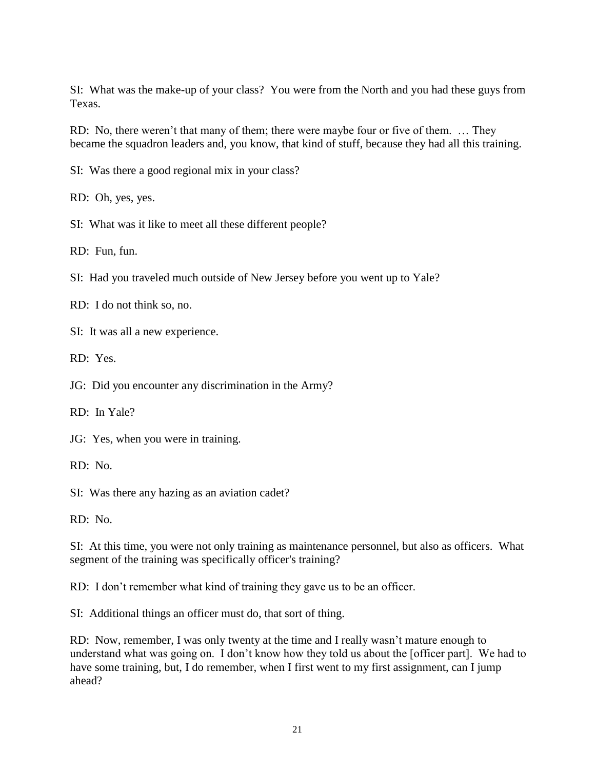SI: What was the make-up of your class? You were from the North and you had these guys from Texas.

RD: No, there weren't that many of them; there were maybe four or five of them. … They became the squadron leaders and, you know, that kind of stuff, because they had all this training.

SI: Was there a good regional mix in your class?

RD: Oh, yes, yes.

SI: What was it like to meet all these different people?

RD: Fun, fun.

SI: Had you traveled much outside of New Jersey before you went up to Yale?

RD: I do not think so, no.

SI: It was all a new experience.

RD: Yes.

JG: Did you encounter any discrimination in the Army?

RD: In Yale?

JG: Yes, when you were in training.

RD: No.

SI: Was there any hazing as an aviation cadet?

RD: No.

SI: At this time, you were not only training as maintenance personnel, but also as officers. What segment of the training was specifically officer's training?

RD: I don't remember what kind of training they gave us to be an officer.

SI: Additional things an officer must do, that sort of thing.

RD: Now, remember, I was only twenty at the time and I really wasn't mature enough to understand what was going on. I don't know how they told us about the [officer part]. We had to have some training, but, I do remember, when I first went to my first assignment, can I jump ahead?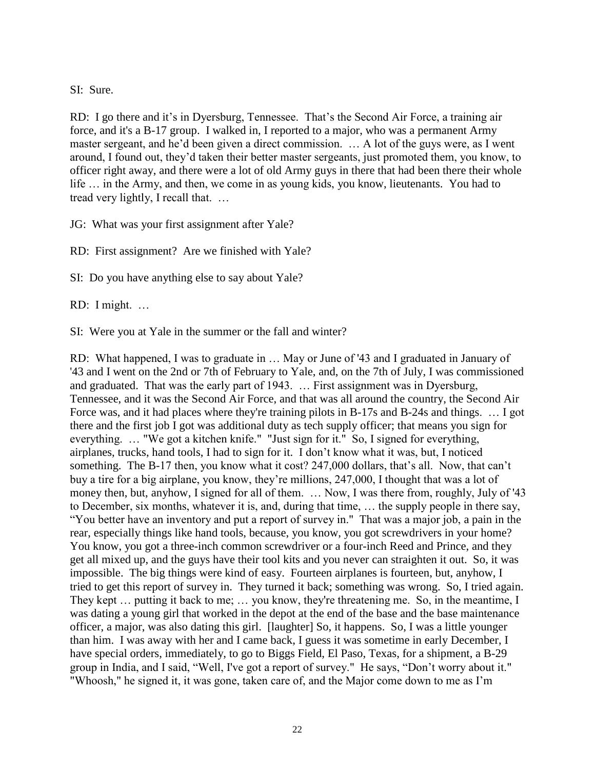## SI: Sure.

RD: I go there and it's in Dyersburg, Tennessee. That's the Second Air Force, a training air force, and it's a B-17 group. I walked in, I reported to a major, who was a permanent Army master sergeant, and he'd been given a direct commission. … A lot of the guys were, as I went around, I found out, they'd taken their better master sergeants, just promoted them, you know, to officer right away, and there were a lot of old Army guys in there that had been there their whole life … in the Army, and then, we come in as young kids, you know, lieutenants. You had to tread very lightly, I recall that. …

JG: What was your first assignment after Yale?

RD: First assignment? Are we finished with Yale?

SI: Do you have anything else to say about Yale?

RD: I might. …

SI: Were you at Yale in the summer or the fall and winter?

RD: What happened, I was to graduate in … May or June of '43 and I graduated in January of '43 and I went on the 2nd or 7th of February to Yale, and, on the 7th of July, I was commissioned and graduated. That was the early part of 1943. … First assignment was in Dyersburg, Tennessee, and it was the Second Air Force, and that was all around the country, the Second Air Force was, and it had places where they're training pilots in B-17s and B-24s and things. ... I got there and the first job I got was additional duty as tech supply officer; that means you sign for everything. … "We got a kitchen knife." "Just sign for it." So, I signed for everything, airplanes, trucks, hand tools, I had to sign for it. I don't know what it was, but, I noticed something. The B-17 then, you know what it cost? 247,000 dollars, that's all. Now, that can't buy a tire for a big airplane, you know, they're millions, 247,000, I thought that was a lot of money then, but, anyhow, I signed for all of them. … Now, I was there from, roughly, July of '43 to December, six months, whatever it is, and, during that time, … the supply people in there say, "You better have an inventory and put a report of survey in." That was a major job, a pain in the rear, especially things like hand tools, because, you know, you got screwdrivers in your home? You know, you got a three-inch common screwdriver or a four-inch Reed and Prince, and they get all mixed up, and the guys have their tool kits and you never can straighten it out. So, it was impossible. The big things were kind of easy. Fourteen airplanes is fourteen, but, anyhow, I tried to get this report of survey in. They turned it back; something was wrong. So, I tried again. They kept … putting it back to me; … you know, they're threatening me. So, in the meantime, I was dating a young girl that worked in the depot at the end of the base and the base maintenance officer, a major, was also dating this girl. [laughter] So, it happens. So, I was a little younger than him. I was away with her and I came back, I guess it was sometime in early December, I have special orders, immediately, to go to Biggs Field, El Paso, Texas, for a shipment, a B-29 group in India, and I said, "Well, I've got a report of survey." He says, "Don't worry about it." "Whoosh," he signed it, it was gone, taken care of, and the Major come down to me as I'm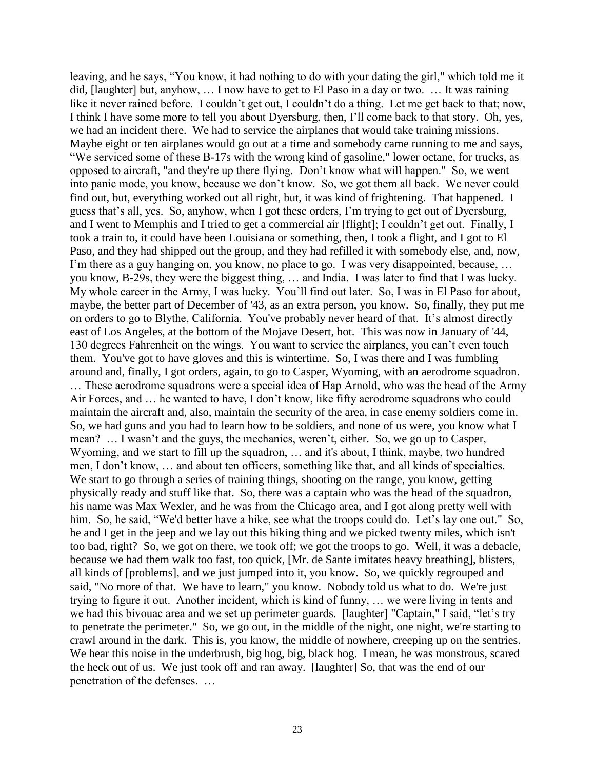leaving, and he says, "You know, it had nothing to do with your dating the girl," which told me it did, [laughter] but, anyhow, … I now have to get to El Paso in a day or two. … It was raining like it never rained before. I couldn't get out, I couldn't do a thing. Let me get back to that; now, I think I have some more to tell you about Dyersburg, then, I'll come back to that story. Oh, yes, we had an incident there. We had to service the airplanes that would take training missions. Maybe eight or ten airplanes would go out at a time and somebody came running to me and says, "We serviced some of these B-17s with the wrong kind of gasoline," lower octane, for trucks, as opposed to aircraft, "and they're up there flying. Don't know what will happen." So, we went into panic mode, you know, because we don't know. So, we got them all back. We never could find out, but, everything worked out all right, but, it was kind of frightening. That happened. I guess that's all, yes. So, anyhow, when I got these orders, I'm trying to get out of Dyersburg, and I went to Memphis and I tried to get a commercial air [flight]; I couldn't get out. Finally, I took a train to, it could have been Louisiana or something, then, I took a flight, and I got to El Paso, and they had shipped out the group, and they had refilled it with somebody else, and, now, I'm there as a guy hanging on, you know, no place to go. I was very disappointed, because, ... you know, B-29s, they were the biggest thing, … and India. I was later to find that I was lucky. My whole career in the Army, I was lucky. You'll find out later. So, I was in El Paso for about, maybe, the better part of December of '43, as an extra person, you know. So, finally, they put me on orders to go to Blythe, California. You've probably never heard of that. It's almost directly east of Los Angeles, at the bottom of the Mojave Desert, hot. This was now in January of '44, 130 degrees Fahrenheit on the wings. You want to service the airplanes, you can't even touch them. You've got to have gloves and this is wintertime. So, I was there and I was fumbling around and, finally, I got orders, again, to go to Casper, Wyoming, with an aerodrome squadron. … These aerodrome squadrons were a special idea of Hap Arnold, who was the head of the Army Air Forces, and … he wanted to have, I don't know, like fifty aerodrome squadrons who could maintain the aircraft and, also, maintain the security of the area, in case enemy soldiers come in. So, we had guns and you had to learn how to be soldiers, and none of us were, you know what I mean? … I wasn't and the guys, the mechanics, weren't, either. So, we go up to Casper, Wyoming, and we start to fill up the squadron, … and it's about, I think, maybe, two hundred men, I don't know, … and about ten officers, something like that, and all kinds of specialties. We start to go through a series of training things, shooting on the range, you know, getting physically ready and stuff like that. So, there was a captain who was the head of the squadron, his name was Max Wexler, and he was from the Chicago area, and I got along pretty well with him. So, he said, "We'd better have a hike, see what the troops could do. Let's lay one out." So, he and I get in the jeep and we lay out this hiking thing and we picked twenty miles, which isn't too bad, right? So, we got on there, we took off; we got the troops to go. Well, it was a debacle, because we had them walk too fast, too quick, [Mr. de Sante imitates heavy breathing], blisters, all kinds of [problems], and we just jumped into it, you know. So, we quickly regrouped and said, "No more of that. We have to learn," you know. Nobody told us what to do. We're just trying to figure it out. Another incident, which is kind of funny, … we were living in tents and we had this bivouac area and we set up perimeter guards. [laughter] "Captain," I said, "let's try to penetrate the perimeter." So, we go out, in the middle of the night, one night, we're starting to crawl around in the dark. This is, you know, the middle of nowhere, creeping up on the sentries. We hear this noise in the underbrush, big hog, big, black hog. I mean, he was monstrous, scared the heck out of us. We just took off and ran away. [laughter] So, that was the end of our penetration of the defenses. …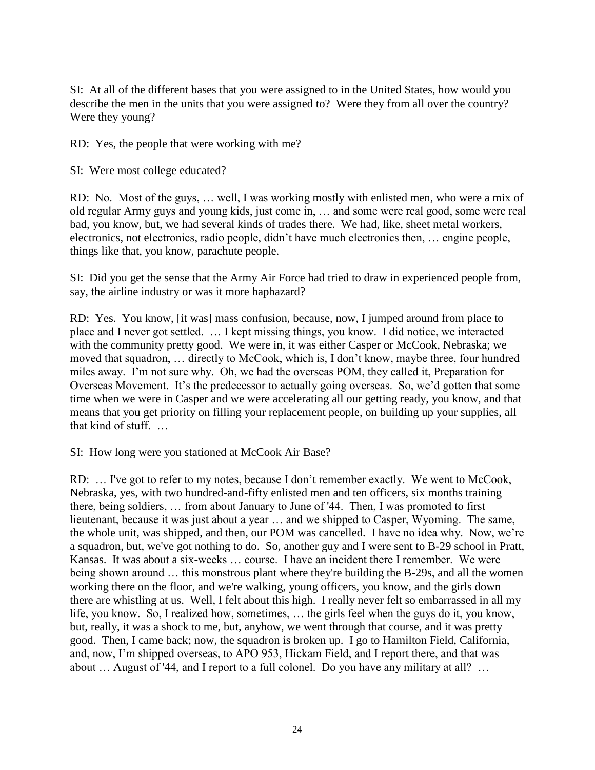SI: At all of the different bases that you were assigned to in the United States, how would you describe the men in the units that you were assigned to? Were they from all over the country? Were they young?

RD: Yes, the people that were working with me?

SI: Were most college educated?

RD: No. Most of the guys, … well, I was working mostly with enlisted men, who were a mix of old regular Army guys and young kids, just come in, … and some were real good, some were real bad, you know, but, we had several kinds of trades there. We had, like, sheet metal workers, electronics, not electronics, radio people, didn't have much electronics then, … engine people, things like that, you know, parachute people.

SI: Did you get the sense that the Army Air Force had tried to draw in experienced people from, say, the airline industry or was it more haphazard?

RD: Yes. You know, [it was] mass confusion, because, now, I jumped around from place to place and I never got settled. … I kept missing things, you know. I did notice, we interacted with the community pretty good. We were in, it was either Casper or McCook, Nebraska; we moved that squadron, … directly to McCook, which is, I don't know, maybe three, four hundred miles away. I'm not sure why. Oh, we had the overseas POM, they called it, Preparation for Overseas Movement. It's the predecessor to actually going overseas. So, we'd gotten that some time when we were in Casper and we were accelerating all our getting ready, you know, and that means that you get priority on filling your replacement people, on building up your supplies, all that kind of stuff. …

SI: How long were you stationed at McCook Air Base?

RD: … I've got to refer to my notes, because I don't remember exactly. We went to McCook, Nebraska, yes, with two hundred-and-fifty enlisted men and ten officers, six months training there, being soldiers, … from about January to June of '44. Then, I was promoted to first lieutenant, because it was just about a year … and we shipped to Casper, Wyoming. The same, the whole unit, was shipped, and then, our POM was cancelled. I have no idea why. Now, we're a squadron, but, we've got nothing to do. So, another guy and I were sent to B-29 school in Pratt, Kansas. It was about a six-weeks … course. I have an incident there I remember. We were being shown around ... this monstrous plant where they're building the B-29s, and all the women working there on the floor, and we're walking, young officers, you know, and the girls down there are whistling at us. Well, I felt about this high. I really never felt so embarrassed in all my life, you know. So, I realized how, sometimes, … the girls feel when the guys do it, you know, but, really, it was a shock to me, but, anyhow, we went through that course, and it was pretty good. Then, I came back; now, the squadron is broken up. I go to Hamilton Field, California, and, now, I'm shipped overseas, to APO 953, Hickam Field, and I report there, and that was about … August of '44, and I report to a full colonel. Do you have any military at all? …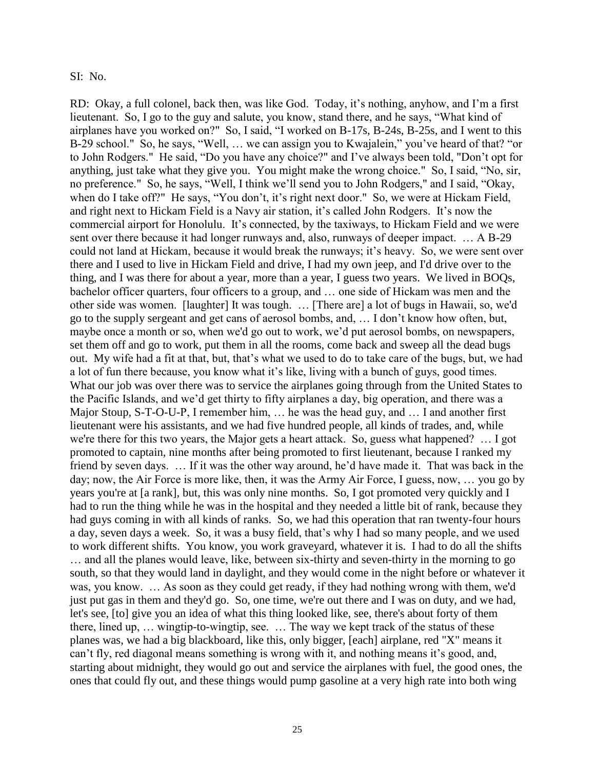#### SI: No.

RD: Okay, a full colonel, back then, was like God. Today, it's nothing, anyhow, and I'm a first lieutenant. So, I go to the guy and salute, you know, stand there, and he says, "What kind of airplanes have you worked on?" So, I said, "I worked on B-17s, B-24s, B-25s, and I went to this B-29 school." So, he says, "Well, … we can assign you to Kwajalein," you've heard of that? "or to John Rodgers." He said, "Do you have any choice?" and I've always been told, "Don't opt for anything, just take what they give you. You might make the wrong choice." So, I said, "No, sir, no preference." So, he says, "Well, I think we'll send you to John Rodgers," and I said, "Okay, when do I take off?" He says, "You don't, it's right next door." So, we were at Hickam Field, and right next to Hickam Field is a Navy air station, it's called John Rodgers. It's now the commercial airport for Honolulu. It's connected, by the taxiways, to Hickam Field and we were sent over there because it had longer runways and, also, runways of deeper impact. … A B-29 could not land at Hickam, because it would break the runways; it's heavy. So, we were sent over there and I used to live in Hickam Field and drive, I had my own jeep, and I'd drive over to the thing, and I was there for about a year, more than a year, I guess two years. We lived in BOQs, bachelor officer quarters, four officers to a group, and … one side of Hickam was men and the other side was women. [laughter] It was tough. … [There are] a lot of bugs in Hawaii, so, we'd go to the supply sergeant and get cans of aerosol bombs, and, … I don't know how often, but, maybe once a month or so, when we'd go out to work, we'd put aerosol bombs, on newspapers, set them off and go to work, put them in all the rooms, come back and sweep all the dead bugs out. My wife had a fit at that, but, that's what we used to do to take care of the bugs, but, we had a lot of fun there because, you know what it's like, living with a bunch of guys, good times. What our job was over there was to service the airplanes going through from the United States to the Pacific Islands, and we'd get thirty to fifty airplanes a day, big operation, and there was a Major Stoup, S-T-O-U-P, I remember him, … he was the head guy, and … I and another first lieutenant were his assistants, and we had five hundred people, all kinds of trades, and, while we're there for this two years, the Major gets a heart attack. So, guess what happened? … I got promoted to captain, nine months after being promoted to first lieutenant, because I ranked my friend by seven days. … If it was the other way around, he'd have made it. That was back in the day; now, the Air Force is more like, then, it was the Army Air Force, I guess, now, … you go by years you're at [a rank], but, this was only nine months. So, I got promoted very quickly and I had to run the thing while he was in the hospital and they needed a little bit of rank, because they had guys coming in with all kinds of ranks. So, we had this operation that ran twenty-four hours a day, seven days a week. So, it was a busy field, that's why I had so many people, and we used to work different shifts. You know, you work graveyard, whatever it is. I had to do all the shifts … and all the planes would leave, like, between six-thirty and seven-thirty in the morning to go south, so that they would land in daylight, and they would come in the night before or whatever it was, you know. … As soon as they could get ready, if they had nothing wrong with them, we'd just put gas in them and they'd go. So, one time, we're out there and I was on duty, and we had, let's see, [to] give you an idea of what this thing looked like, see, there's about forty of them there, lined up, … wingtip-to-wingtip, see. … The way we kept track of the status of these planes was, we had a big blackboard, like this, only bigger, [each] airplane, red "X" means it can't fly, red diagonal means something is wrong with it, and nothing means it's good, and, starting about midnight, they would go out and service the airplanes with fuel, the good ones, the ones that could fly out, and these things would pump gasoline at a very high rate into both wing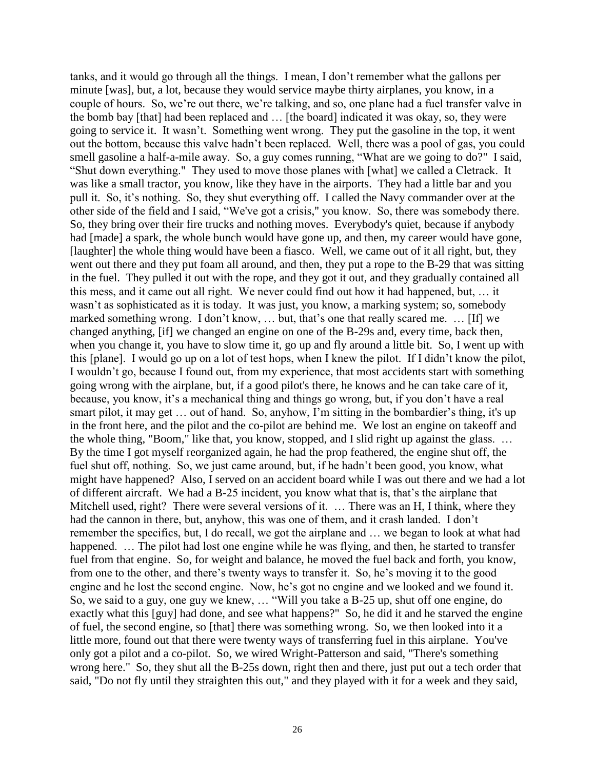tanks, and it would go through all the things. I mean, I don't remember what the gallons per minute [was], but, a lot, because they would service maybe thirty airplanes, you know, in a couple of hours. So, we're out there, we're talking, and so, one plane had a fuel transfer valve in the bomb bay [that] had been replaced and … [the board] indicated it was okay, so, they were going to service it. It wasn't. Something went wrong. They put the gasoline in the top, it went out the bottom, because this valve hadn't been replaced. Well, there was a pool of gas, you could smell gasoline a half-a-mile away. So, a guy comes running, "What are we going to do?" I said, "Shut down everything." They used to move those planes with [what] we called a Cletrack. It was like a small tractor, you know, like they have in the airports. They had a little bar and you pull it. So, it's nothing. So, they shut everything off. I called the Navy commander over at the other side of the field and I said, "We've got a crisis," you know. So, there was somebody there. So, they bring over their fire trucks and nothing moves. Everybody's quiet, because if anybody had [made] a spark, the whole bunch would have gone up, and then, my career would have gone, [laughter] the whole thing would have been a fiasco. Well, we came out of it all right, but, they went out there and they put foam all around, and then, they put a rope to the B-29 that was sitting in the fuel. They pulled it out with the rope, and they got it out, and they gradually contained all this mess, and it came out all right. We never could find out how it had happened, but, … it wasn't as sophisticated as it is today. It was just, you know, a marking system; so, somebody marked something wrong. I don't know, … but, that's one that really scared me. … [If] we changed anything, [if] we changed an engine on one of the B-29s and, every time, back then, when you change it, you have to slow time it, go up and fly around a little bit. So, I went up with this [plane]. I would go up on a lot of test hops, when I knew the pilot. If I didn't know the pilot, I wouldn't go, because I found out, from my experience, that most accidents start with something going wrong with the airplane, but, if a good pilot's there, he knows and he can take care of it, because, you know, it's a mechanical thing and things go wrong, but, if you don't have a real smart pilot, it may get … out of hand. So, anyhow, I'm sitting in the bombardier's thing, it's up in the front here, and the pilot and the co-pilot are behind me. We lost an engine on takeoff and the whole thing, "Boom," like that, you know, stopped, and I slid right up against the glass. … By the time I got myself reorganized again, he had the prop feathered, the engine shut off, the fuel shut off, nothing. So, we just came around, but, if he hadn't been good, you know, what might have happened? Also, I served on an accident board while I was out there and we had a lot of different aircraft. We had a B-25 incident, you know what that is, that's the airplane that Mitchell used, right? There were several versions of it. … There was an H, I think, where they had the cannon in there, but, anyhow, this was one of them, and it crash landed. I don't remember the specifics, but, I do recall, we got the airplane and … we began to look at what had happened. ... The pilot had lost one engine while he was flying, and then, he started to transfer fuel from that engine. So, for weight and balance, he moved the fuel back and forth, you know, from one to the other, and there's twenty ways to transfer it. So, he's moving it to the good engine and he lost the second engine. Now, he's got no engine and we looked and we found it. So, we said to a guy, one guy we knew, … "Will you take a B-25 up, shut off one engine, do exactly what this [guy] had done, and see what happens?" So, he did it and he starved the engine of fuel, the second engine, so [that] there was something wrong. So, we then looked into it a little more, found out that there were twenty ways of transferring fuel in this airplane. You've only got a pilot and a co-pilot. So, we wired Wright-Patterson and said, "There's something wrong here." So, they shut all the B-25s down, right then and there, just put out a tech order that said, "Do not fly until they straighten this out," and they played with it for a week and they said,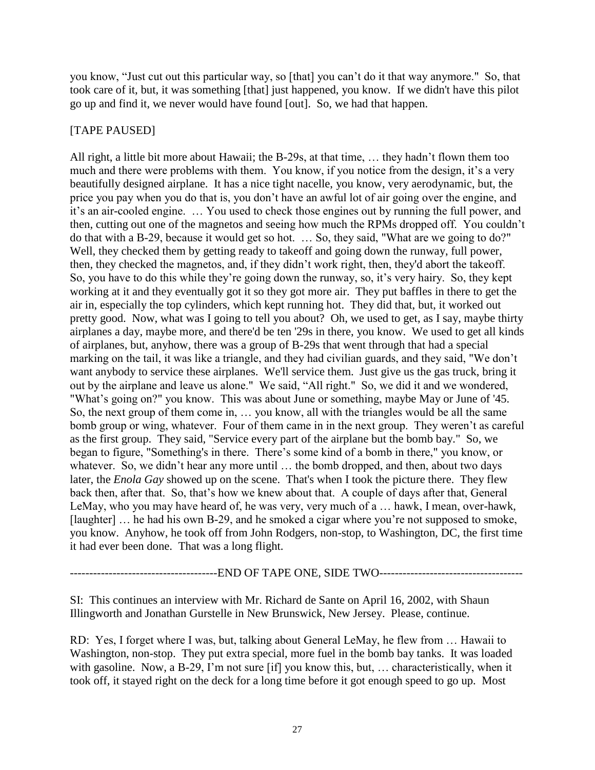you know, "Just cut out this particular way, so [that] you can't do it that way anymore." So, that took care of it, but, it was something [that] just happened, you know. If we didn't have this pilot go up and find it, we never would have found [out]. So, we had that happen.

# [TAPE PAUSED]

All right, a little bit more about Hawaii; the B-29s, at that time, … they hadn't flown them too much and there were problems with them. You know, if you notice from the design, it's a very beautifully designed airplane. It has a nice tight nacelle, you know, very aerodynamic, but, the price you pay when you do that is, you don't have an awful lot of air going over the engine, and it's an air-cooled engine. … You used to check those engines out by running the full power, and then, cutting out one of the magnetos and seeing how much the RPMs dropped off. You couldn't do that with a B-29, because it would get so hot. … So, they said, "What are we going to do?" Well, they checked them by getting ready to takeoff and going down the runway, full power, then, they checked the magnetos, and, if they didn't work right, then, they'd abort the takeoff. So, you have to do this while they're going down the runway, so, it's very hairy. So, they kept working at it and they eventually got it so they got more air. They put baffles in there to get the air in, especially the top cylinders, which kept running hot. They did that, but, it worked out pretty good. Now, what was I going to tell you about? Oh, we used to get, as I say, maybe thirty airplanes a day, maybe more, and there'd be ten '29s in there, you know. We used to get all kinds of airplanes, but, anyhow, there was a group of B-29s that went through that had a special marking on the tail, it was like a triangle, and they had civilian guards, and they said, "We don't want anybody to service these airplanes. We'll service them. Just give us the gas truck, bring it out by the airplane and leave us alone." We said, "All right." So, we did it and we wondered, "What's going on?" you know. This was about June or something, maybe May or June of '45. So, the next group of them come in, … you know, all with the triangles would be all the same bomb group or wing, whatever. Four of them came in in the next group. They weren't as careful as the first group. They said, "Service every part of the airplane but the bomb bay." So, we began to figure, "Something's in there. There's some kind of a bomb in there," you know, or whatever. So, we didn't hear any more until ... the bomb dropped, and then, about two days later, the *Enola Gay* showed up on the scene. That's when I took the picture there. They flew back then, after that. So, that's how we knew about that. A couple of days after that, General LeMay, who you may have heard of, he was very, very much of a … hawk, I mean, over-hawk, [laughter] ... he had his own B-29, and he smoked a cigar where you're not supposed to smoke, you know. Anyhow, he took off from John Rodgers, non-stop, to Washington, DC, the first time it had ever been done. That was a long flight.

----------------------END OF TAPE ONE, SIDE TWO-----------------------------------

SI: This continues an interview with Mr. Richard de Sante on April 16, 2002, with Shaun Illingworth and Jonathan Gurstelle in New Brunswick, New Jersey. Please, continue.

RD: Yes, I forget where I was, but, talking about General LeMay, he flew from … Hawaii to Washington, non-stop. They put extra special, more fuel in the bomb bay tanks. It was loaded with gasoline. Now, a B-29, I'm not sure [if] you know this, but, … characteristically, when it took off, it stayed right on the deck for a long time before it got enough speed to go up. Most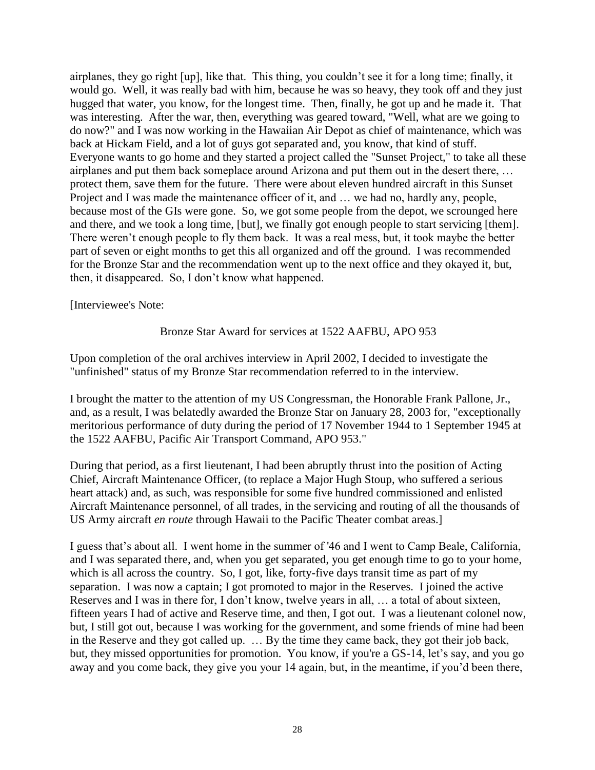airplanes, they go right [up], like that. This thing, you couldn't see it for a long time; finally, it would go. Well, it was really bad with him, because he was so heavy, they took off and they just hugged that water, you know, for the longest time. Then, finally, he got up and he made it. That was interesting. After the war, then, everything was geared toward, "Well, what are we going to do now?" and I was now working in the Hawaiian Air Depot as chief of maintenance, which was back at Hickam Field, and a lot of guys got separated and, you know, that kind of stuff. Everyone wants to go home and they started a project called the "Sunset Project," to take all these airplanes and put them back someplace around Arizona and put them out in the desert there, … protect them, save them for the future. There were about eleven hundred aircraft in this Sunset Project and I was made the maintenance officer of it, and … we had no, hardly any, people, because most of the GIs were gone. So, we got some people from the depot, we scrounged here and there, and we took a long time, [but], we finally got enough people to start servicing [them]. There weren't enough people to fly them back. It was a real mess, but, it took maybe the better part of seven or eight months to get this all organized and off the ground. I was recommended for the Bronze Star and the recommendation went up to the next office and they okayed it, but, then, it disappeared. So, I don't know what happened.

[Interviewee's Note:

# Bronze Star Award for services at 1522 AAFBU, APO 953

Upon completion of the oral archives interview in April 2002, I decided to investigate the "unfinished" status of my Bronze Star recommendation referred to in the interview.

I brought the matter to the attention of my US Congressman, the Honorable Frank Pallone, Jr., and, as a result, I was belatedly awarded the Bronze Star on January 28, 2003 for, "exceptionally meritorious performance of duty during the period of 17 November 1944 to 1 September 1945 at the 1522 AAFBU, Pacific Air Transport Command, APO 953."

During that period, as a first lieutenant, I had been abruptly thrust into the position of Acting Chief, Aircraft Maintenance Officer, (to replace a Major Hugh Stoup, who suffered a serious heart attack) and, as such, was responsible for some five hundred commissioned and enlisted Aircraft Maintenance personnel, of all trades, in the servicing and routing of all the thousands of US Army aircraft *en route* through Hawaii to the Pacific Theater combat areas.]

I guess that's about all. I went home in the summer of '46 and I went to Camp Beale, California, and I was separated there, and, when you get separated, you get enough time to go to your home, which is all across the country. So, I got, like, forty-five days transit time as part of my separation. I was now a captain; I got promoted to major in the Reserves. I joined the active Reserves and I was in there for, I don't know, twelve years in all, … a total of about sixteen, fifteen years I had of active and Reserve time, and then, I got out. I was a lieutenant colonel now, but, I still got out, because I was working for the government, and some friends of mine had been in the Reserve and they got called up. … By the time they came back, they got their job back, but, they missed opportunities for promotion. You know, if you're a GS-14, let's say, and you go away and you come back, they give you your 14 again, but, in the meantime, if you'd been there,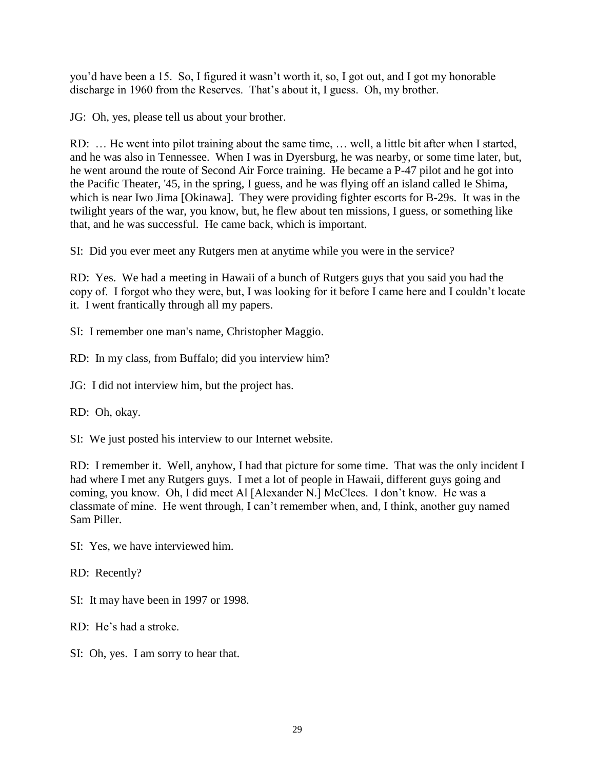you'd have been a 15. So, I figured it wasn't worth it, so, I got out, and I got my honorable discharge in 1960 from the Reserves. That's about it, I guess. Oh, my brother.

JG: Oh, yes, please tell us about your brother.

RD: … He went into pilot training about the same time, … well, a little bit after when I started, and he was also in Tennessee. When I was in Dyersburg, he was nearby, or some time later, but, he went around the route of Second Air Force training. He became a P-47 pilot and he got into the Pacific Theater, '45, in the spring, I guess, and he was flying off an island called Ie Shima, which is near Iwo Jima [Okinawa]. They were providing fighter escorts for B-29s. It was in the twilight years of the war, you know, but, he flew about ten missions, I guess, or something like that, and he was successful. He came back, which is important.

SI: Did you ever meet any Rutgers men at anytime while you were in the service?

RD: Yes. We had a meeting in Hawaii of a bunch of Rutgers guys that you said you had the copy of. I forgot who they were, but, I was looking for it before I came here and I couldn't locate it. I went frantically through all my papers.

SI: I remember one man's name, Christopher Maggio.

RD: In my class, from Buffalo; did you interview him?

JG: I did not interview him, but the project has.

RD: Oh, okay.

SI: We just posted his interview to our Internet website.

RD: I remember it. Well, anyhow, I had that picture for some time. That was the only incident I had where I met any Rutgers guys. I met a lot of people in Hawaii, different guys going and coming, you know. Oh, I did meet Al [Alexander N.] McClees. I don't know. He was a classmate of mine. He went through, I can't remember when, and, I think, another guy named Sam Piller.

SI: Yes, we have interviewed him.

RD: Recently?

SI: It may have been in 1997 or 1998.

RD: He's had a stroke.

SI: Oh, yes. I am sorry to hear that.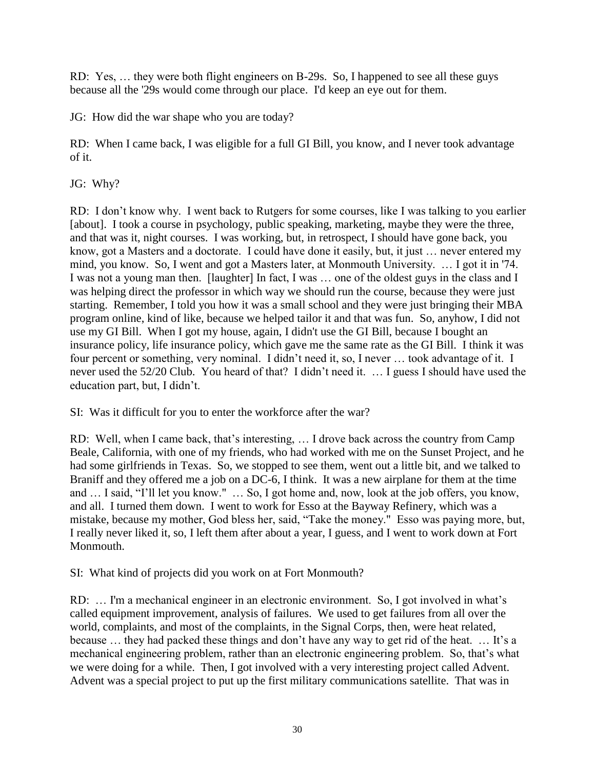RD: Yes, … they were both flight engineers on B-29s. So, I happened to see all these guys because all the '29s would come through our place. I'd keep an eye out for them.

JG: How did the war shape who you are today?

RD: When I came back, I was eligible for a full GI Bill, you know, and I never took advantage of it.

JG: Why?

RD: I don't know why. I went back to Rutgers for some courses, like I was talking to you earlier [about]. I took a course in psychology, public speaking, marketing, maybe they were the three, and that was it, night courses. I was working, but, in retrospect, I should have gone back, you know, got a Masters and a doctorate. I could have done it easily, but, it just … never entered my mind, you know. So, I went and got a Masters later, at Monmouth University. … I got it in '74. I was not a young man then. [laughter] In fact, I was … one of the oldest guys in the class and I was helping direct the professor in which way we should run the course, because they were just starting. Remember, I told you how it was a small school and they were just bringing their MBA program online, kind of like, because we helped tailor it and that was fun. So, anyhow, I did not use my GI Bill. When I got my house, again, I didn't use the GI Bill, because I bought an insurance policy, life insurance policy, which gave me the same rate as the GI Bill. I think it was four percent or something, very nominal. I didn't need it, so, I never … took advantage of it. I never used the 52/20 Club. You heard of that? I didn't need it. … I guess I should have used the education part, but, I didn't.

SI: Was it difficult for you to enter the workforce after the war?

RD: Well, when I came back, that's interesting, … I drove back across the country from Camp Beale, California, with one of my friends, who had worked with me on the Sunset Project, and he had some girlfriends in Texas. So, we stopped to see them, went out a little bit, and we talked to Braniff and they offered me a job on a DC-6, I think. It was a new airplane for them at the time and … I said, "I'll let you know." … So, I got home and, now, look at the job offers, you know, and all. I turned them down. I went to work for Esso at the Bayway Refinery, which was a mistake, because my mother, God bless her, said, "Take the money." Esso was paying more, but, I really never liked it, so, I left them after about a year, I guess, and I went to work down at Fort Monmouth.

SI: What kind of projects did you work on at Fort Monmouth?

RD: … I'm a mechanical engineer in an electronic environment. So, I got involved in what's called equipment improvement, analysis of failures. We used to get failures from all over the world, complaints, and most of the complaints, in the Signal Corps, then, were heat related, because … they had packed these things and don't have any way to get rid of the heat. … It's a mechanical engineering problem, rather than an electronic engineering problem. So, that's what we were doing for a while. Then, I got involved with a very interesting project called Advent. Advent was a special project to put up the first military communications satellite. That was in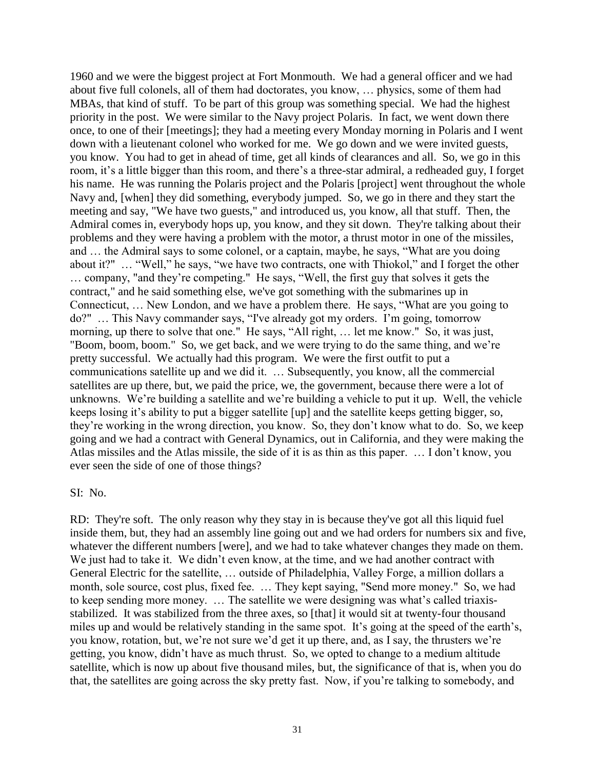1960 and we were the biggest project at Fort Monmouth. We had a general officer and we had about five full colonels, all of them had doctorates, you know, … physics, some of them had MBAs, that kind of stuff. To be part of this group was something special. We had the highest priority in the post. We were similar to the Navy project Polaris. In fact, we went down there once, to one of their [meetings]; they had a meeting every Monday morning in Polaris and I went down with a lieutenant colonel who worked for me. We go down and we were invited guests, you know. You had to get in ahead of time, get all kinds of clearances and all. So, we go in this room, it's a little bigger than this room, and there's a three-star admiral, a redheaded guy, I forget his name. He was running the Polaris project and the Polaris [project] went throughout the whole Navy and, [when] they did something, everybody jumped. So, we go in there and they start the meeting and say, "We have two guests," and introduced us, you know, all that stuff. Then, the Admiral comes in, everybody hops up, you know, and they sit down. They're talking about their problems and they were having a problem with the motor, a thrust motor in one of the missiles, and … the Admiral says to some colonel, or a captain, maybe, he says, "What are you doing about it?" … "Well," he says, "we have two contracts, one with Thiokol," and I forget the other … company, "and they're competing." He says, "Well, the first guy that solves it gets the contract," and he said something else, we've got something with the submarines up in Connecticut, … New London, and we have a problem there. He says, "What are you going to do?" … This Navy commander says, "I've already got my orders. I'm going, tomorrow morning, up there to solve that one." He says, "All right, … let me know." So, it was just, "Boom, boom, boom." So, we get back, and we were trying to do the same thing, and we're pretty successful. We actually had this program. We were the first outfit to put a communications satellite up and we did it. … Subsequently, you know, all the commercial satellites are up there, but, we paid the price, we, the government, because there were a lot of unknowns. We're building a satellite and we're building a vehicle to put it up. Well, the vehicle keeps losing it's ability to put a bigger satellite [up] and the satellite keeps getting bigger, so, they're working in the wrong direction, you know. So, they don't know what to do. So, we keep going and we had a contract with General Dynamics, out in California, and they were making the Atlas missiles and the Atlas missile, the side of it is as thin as this paper. … I don't know, you ever seen the side of one of those things?

#### SI: No.

RD: They're soft. The only reason why they stay in is because they've got all this liquid fuel inside them, but, they had an assembly line going out and we had orders for numbers six and five, whatever the different numbers [were], and we had to take whatever changes they made on them. We just had to take it. We didn't even know, at the time, and we had another contract with General Electric for the satellite, … outside of Philadelphia, Valley Forge, a million dollars a month, sole source, cost plus, fixed fee. … They kept saying, "Send more money." So, we had to keep sending more money. … The satellite we were designing was what's called triaxisstabilized. It was stabilized from the three axes, so [that] it would sit at twenty-four thousand miles up and would be relatively standing in the same spot. It's going at the speed of the earth's, you know, rotation, but, we're not sure we'd get it up there, and, as I say, the thrusters we're getting, you know, didn't have as much thrust. So, we opted to change to a medium altitude satellite, which is now up about five thousand miles, but, the significance of that is, when you do that, the satellites are going across the sky pretty fast. Now, if you're talking to somebody, and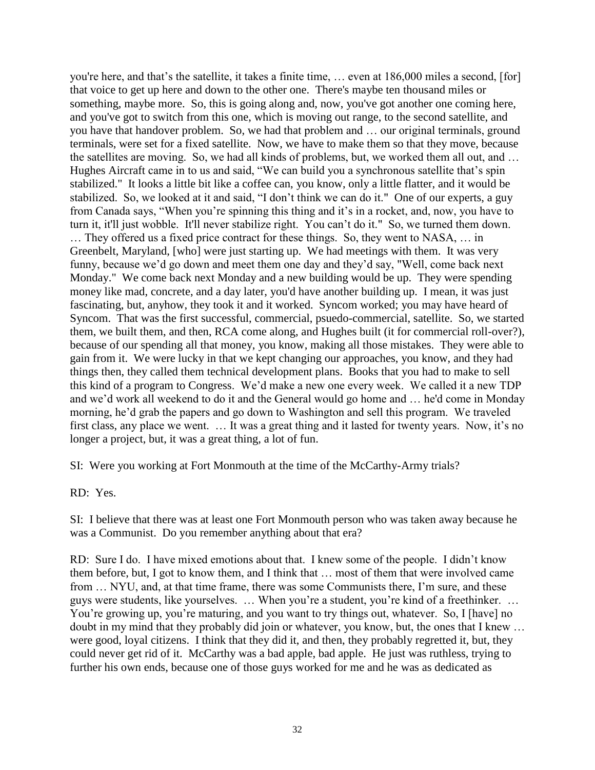you're here, and that's the satellite, it takes a finite time, … even at 186,000 miles a second, [for] that voice to get up here and down to the other one. There's maybe ten thousand miles or something, maybe more. So, this is going along and, now, you've got another one coming here, and you've got to switch from this one, which is moving out range, to the second satellite, and you have that handover problem. So, we had that problem and … our original terminals, ground terminals, were set for a fixed satellite. Now, we have to make them so that they move, because the satellites are moving. So, we had all kinds of problems, but, we worked them all out, and … Hughes Aircraft came in to us and said, "We can build you a synchronous satellite that's spin stabilized." It looks a little bit like a coffee can, you know, only a little flatter, and it would be stabilized. So, we looked at it and said, "I don't think we can do it." One of our experts, a guy from Canada says, "When you're spinning this thing and it's in a rocket, and, now, you have to turn it, it'll just wobble. It'll never stabilize right. You can't do it." So, we turned them down.

… They offered us a fixed price contract for these things. So, they went to NASA, … in Greenbelt, Maryland, [who] were just starting up. We had meetings with them. It was very funny, because we'd go down and meet them one day and they'd say, "Well, come back next Monday." We come back next Monday and a new building would be up. They were spending money like mad, concrete, and a day later, you'd have another building up. I mean, it was just fascinating, but, anyhow, they took it and it worked. Syncom worked; you may have heard of Syncom. That was the first successful, commercial, psuedo-commercial, satellite. So, we started them, we built them, and then, RCA come along, and Hughes built (it for commercial roll-over?), because of our spending all that money, you know, making all those mistakes. They were able to gain from it. We were lucky in that we kept changing our approaches, you know, and they had things then, they called them technical development plans. Books that you had to make to sell this kind of a program to Congress. We'd make a new one every week. We called it a new TDP and we'd work all weekend to do it and the General would go home and … he'd come in Monday morning, he'd grab the papers and go down to Washington and sell this program. We traveled first class, any place we went. … It was a great thing and it lasted for twenty years. Now, it's no longer a project, but, it was a great thing, a lot of fun.

SI: Were you working at Fort Monmouth at the time of the McCarthy-Army trials?

RD: Yes.

SI: I believe that there was at least one Fort Monmouth person who was taken away because he was a Communist. Do you remember anything about that era?

RD: Sure I do. I have mixed emotions about that. I knew some of the people. I didn't know them before, but, I got to know them, and I think that … most of them that were involved came from … NYU, and, at that time frame, there was some Communists there, I'm sure, and these guys were students, like yourselves. … When you're a student, you're kind of a freethinker. … You're growing up, you're maturing, and you want to try things out, whatever. So, I [have] no doubt in my mind that they probably did join or whatever, you know, but, the ones that I knew … were good, loyal citizens. I think that they did it, and then, they probably regretted it, but, they could never get rid of it. McCarthy was a bad apple, bad apple. He just was ruthless, trying to further his own ends, because one of those guys worked for me and he was as dedicated as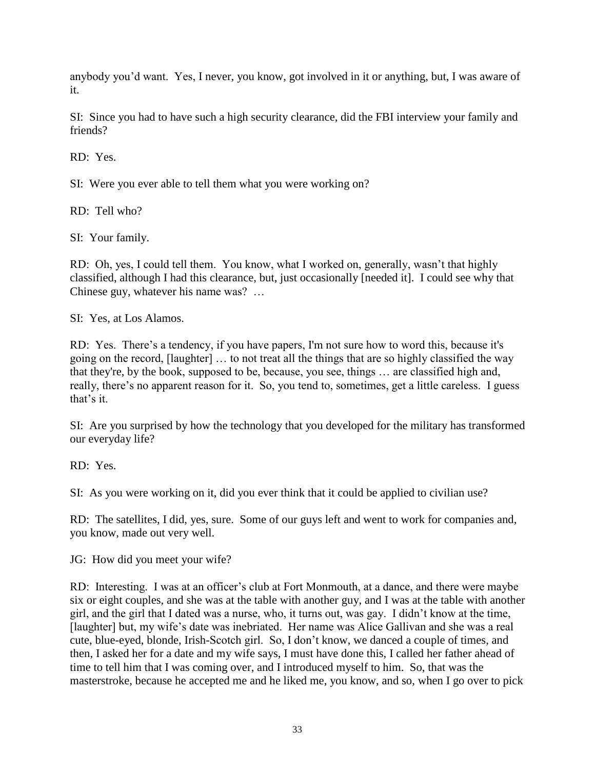anybody you'd want. Yes, I never, you know, got involved in it or anything, but, I was aware of it.

SI: Since you had to have such a high security clearance, did the FBI interview your family and friends?

RD: Yes.

SI: Were you ever able to tell them what you were working on?

RD: Tell who?

SI: Your family.

RD: Oh, yes, I could tell them. You know, what I worked on, generally, wasn't that highly classified, although I had this clearance, but, just occasionally [needed it]. I could see why that Chinese guy, whatever his name was? …

SI: Yes, at Los Alamos.

RD: Yes. There's a tendency, if you have papers, I'm not sure how to word this, because it's going on the record, [laughter] … to not treat all the things that are so highly classified the way that they're, by the book, supposed to be, because, you see, things … are classified high and, really, there's no apparent reason for it. So, you tend to, sometimes, get a little careless. I guess that's it.

SI: Are you surprised by how the technology that you developed for the military has transformed our everyday life?

RD: Yes.

SI: As you were working on it, did you ever think that it could be applied to civilian use?

RD: The satellites, I did, yes, sure. Some of our guys left and went to work for companies and, you know, made out very well.

JG: How did you meet your wife?

RD: Interesting. I was at an officer's club at Fort Monmouth, at a dance, and there were maybe six or eight couples, and she was at the table with another guy, and I was at the table with another girl, and the girl that I dated was a nurse, who, it turns out, was gay. I didn't know at the time, [laughter] but, my wife's date was inebriated. Her name was Alice Gallivan and she was a real cute, blue-eyed, blonde, Irish-Scotch girl. So, I don't know, we danced a couple of times, and then, I asked her for a date and my wife says, I must have done this, I called her father ahead of time to tell him that I was coming over, and I introduced myself to him. So, that was the masterstroke, because he accepted me and he liked me, you know, and so, when I go over to pick